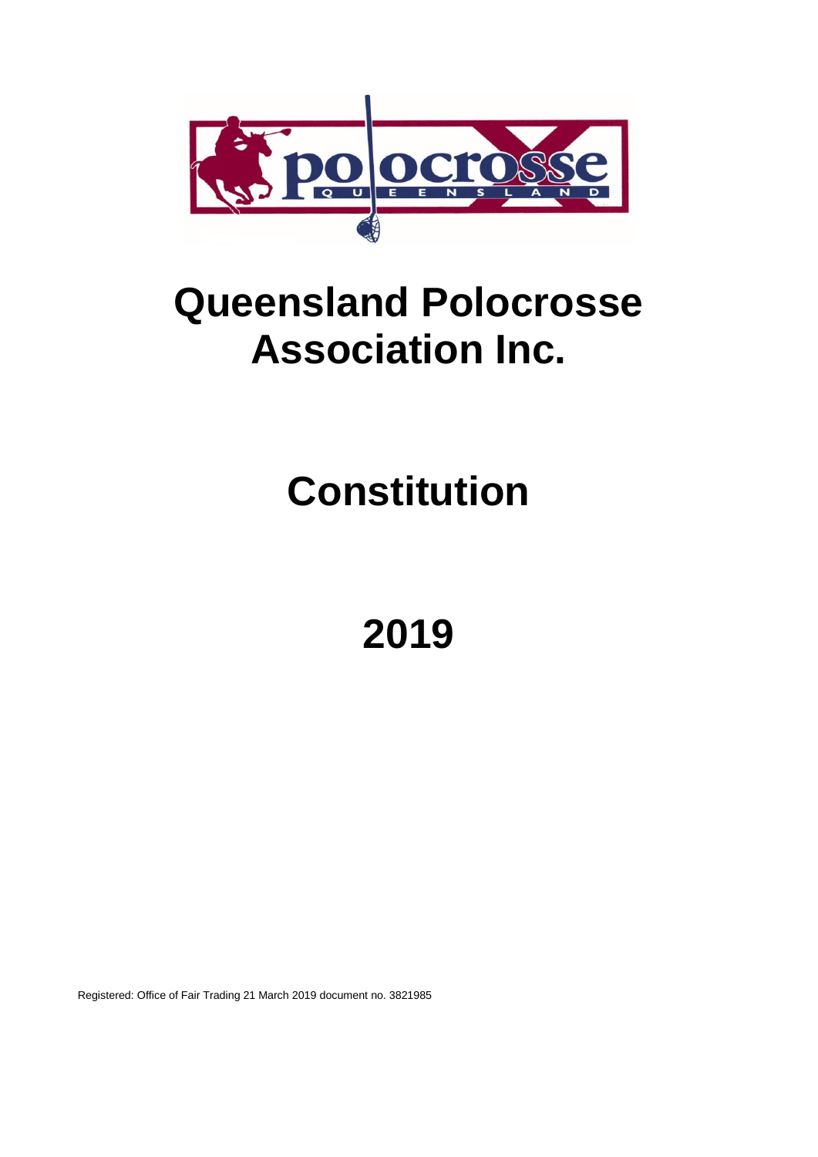

## **Queensland Polocrosse Association Inc.**

# **Constitution**

**2019**

Registered: Office of Fair Trading 21 March 2019 document no. 3821985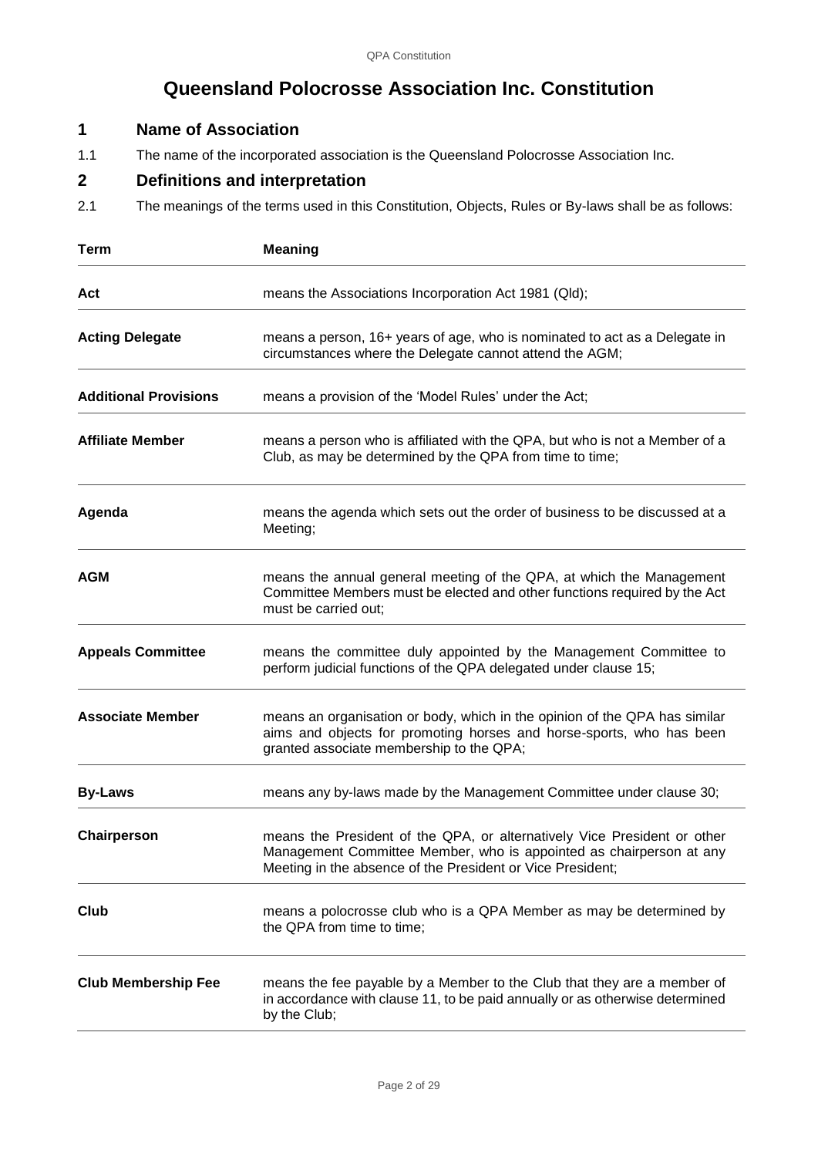## **Queensland Polocrosse Association Inc. Constitution**

## **1 Name of Association**

1.1 The name of the incorporated association is the Queensland Polocrosse Association Inc.

## **2 Definitions and interpretation**

2.1 The meanings of the terms used in this Constitution, Objects, Rules or By-laws shall be as follows:

| <b>Term</b>                  | <b>Meaning</b>                                                                                                                                                                                                |
|------------------------------|---------------------------------------------------------------------------------------------------------------------------------------------------------------------------------------------------------------|
| Act                          | means the Associations Incorporation Act 1981 (Qld);                                                                                                                                                          |
| <b>Acting Delegate</b>       | means a person, 16+ years of age, who is nominated to act as a Delegate in<br>circumstances where the Delegate cannot attend the AGM;                                                                         |
| <b>Additional Provisions</b> | means a provision of the 'Model Rules' under the Act;                                                                                                                                                         |
| <b>Affiliate Member</b>      | means a person who is affiliated with the QPA, but who is not a Member of a<br>Club, as may be determined by the QPA from time to time;                                                                       |
| Agenda                       | means the agenda which sets out the order of business to be discussed at a<br>Meeting;                                                                                                                        |
| <b>AGM</b>                   | means the annual general meeting of the QPA, at which the Management<br>Committee Members must be elected and other functions required by the Act<br>must be carried out:                                     |
| <b>Appeals Committee</b>     | means the committee duly appointed by the Management Committee to<br>perform judicial functions of the QPA delegated under clause 15;                                                                         |
| <b>Associate Member</b>      | means an organisation or body, which in the opinion of the QPA has similar<br>aims and objects for promoting horses and horse-sports, who has been<br>granted associate membership to the QPA;                |
| <b>By-Laws</b>               | means any by-laws made by the Management Committee under clause 30;                                                                                                                                           |
| Chairperson                  | means the President of the QPA, or alternatively Vice President or other<br>Management Committee Member, who is appointed as chairperson at any<br>Meeting in the absence of the President or Vice President; |
| Club                         | means a polocrosse club who is a QPA Member as may be determined by<br>the QPA from time to time;                                                                                                             |
| <b>Club Membership Fee</b>   | means the fee payable by a Member to the Club that they are a member of<br>in accordance with clause 11, to be paid annually or as otherwise determined<br>by the Club;                                       |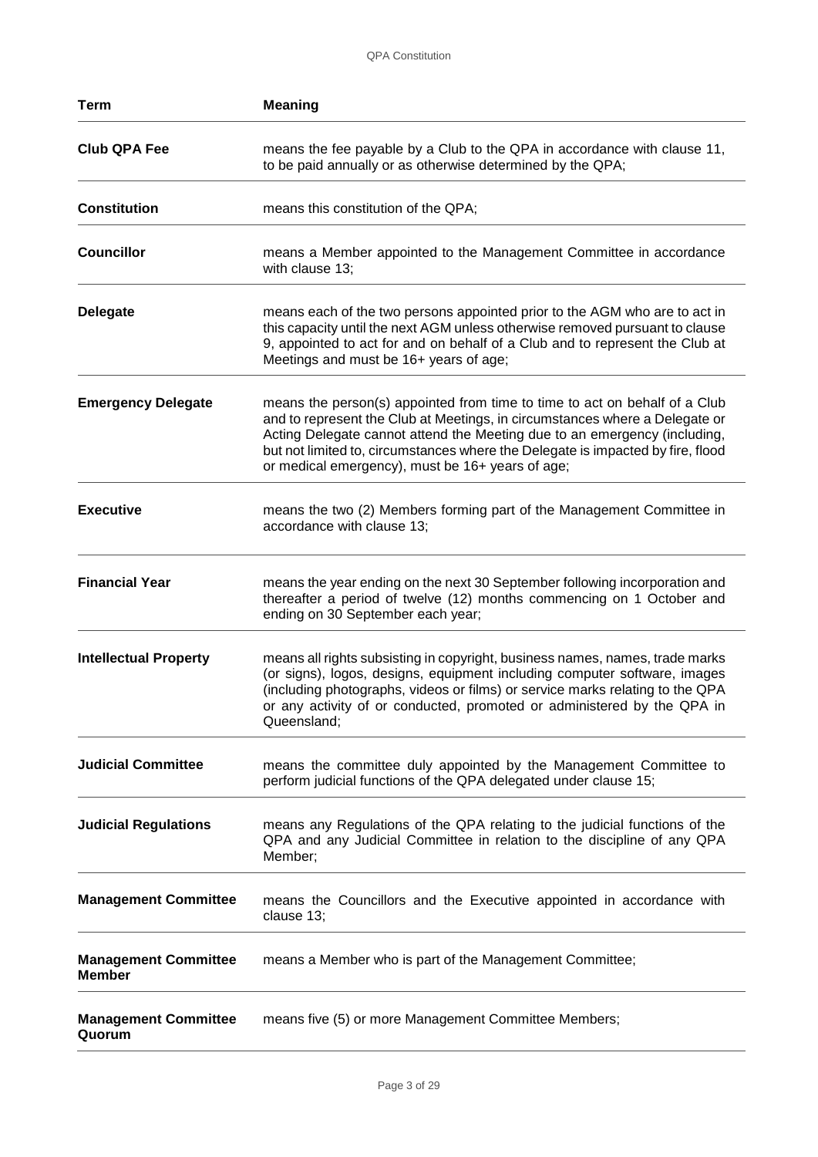| <b>Term</b>                                  | <b>Meaning</b>                                                                                                                                                                                                                                                                                                                                                                |
|----------------------------------------------|-------------------------------------------------------------------------------------------------------------------------------------------------------------------------------------------------------------------------------------------------------------------------------------------------------------------------------------------------------------------------------|
| <b>Club QPA Fee</b>                          | means the fee payable by a Club to the QPA in accordance with clause 11,<br>to be paid annually or as otherwise determined by the QPA;                                                                                                                                                                                                                                        |
| <b>Constitution</b>                          | means this constitution of the QPA;                                                                                                                                                                                                                                                                                                                                           |
| <b>Councillor</b>                            | means a Member appointed to the Management Committee in accordance<br>with clause 13;                                                                                                                                                                                                                                                                                         |
| <b>Delegate</b>                              | means each of the two persons appointed prior to the AGM who are to act in<br>this capacity until the next AGM unless otherwise removed pursuant to clause<br>9, appointed to act for and on behalf of a Club and to represent the Club at<br>Meetings and must be 16+ years of age;                                                                                          |
| <b>Emergency Delegate</b>                    | means the person(s) appointed from time to time to act on behalf of a Club<br>and to represent the Club at Meetings, in circumstances where a Delegate or<br>Acting Delegate cannot attend the Meeting due to an emergency (including,<br>but not limited to, circumstances where the Delegate is impacted by fire, flood<br>or medical emergency), must be 16+ years of age; |
| <b>Executive</b>                             | means the two (2) Members forming part of the Management Committee in<br>accordance with clause 13;                                                                                                                                                                                                                                                                           |
| <b>Financial Year</b>                        | means the year ending on the next 30 September following incorporation and<br>thereafter a period of twelve (12) months commencing on 1 October and<br>ending on 30 September each year;                                                                                                                                                                                      |
| <b>Intellectual Property</b>                 | means all rights subsisting in copyright, business names, names, trade marks<br>(or signs), logos, designs, equipment including computer software, images<br>(including photographs, videos or films) or service marks relating to the QPA<br>or any activity of or conducted, promoted or administered by the QPA in<br>Queensland;                                          |
| <b>Judicial Committee</b>                    | means the committee duly appointed by the Management Committee to<br>perform judicial functions of the QPA delegated under clause 15;                                                                                                                                                                                                                                         |
| <b>Judicial Regulations</b>                  | means any Regulations of the QPA relating to the judicial functions of the<br>QPA and any Judicial Committee in relation to the discipline of any QPA<br>Member;                                                                                                                                                                                                              |
| <b>Management Committee</b>                  | means the Councillors and the Executive appointed in accordance with<br>clause 13;                                                                                                                                                                                                                                                                                            |
| <b>Management Committee</b><br><b>Member</b> | means a Member who is part of the Management Committee;                                                                                                                                                                                                                                                                                                                       |
| <b>Management Committee</b><br>Quorum        | means five (5) or more Management Committee Members;                                                                                                                                                                                                                                                                                                                          |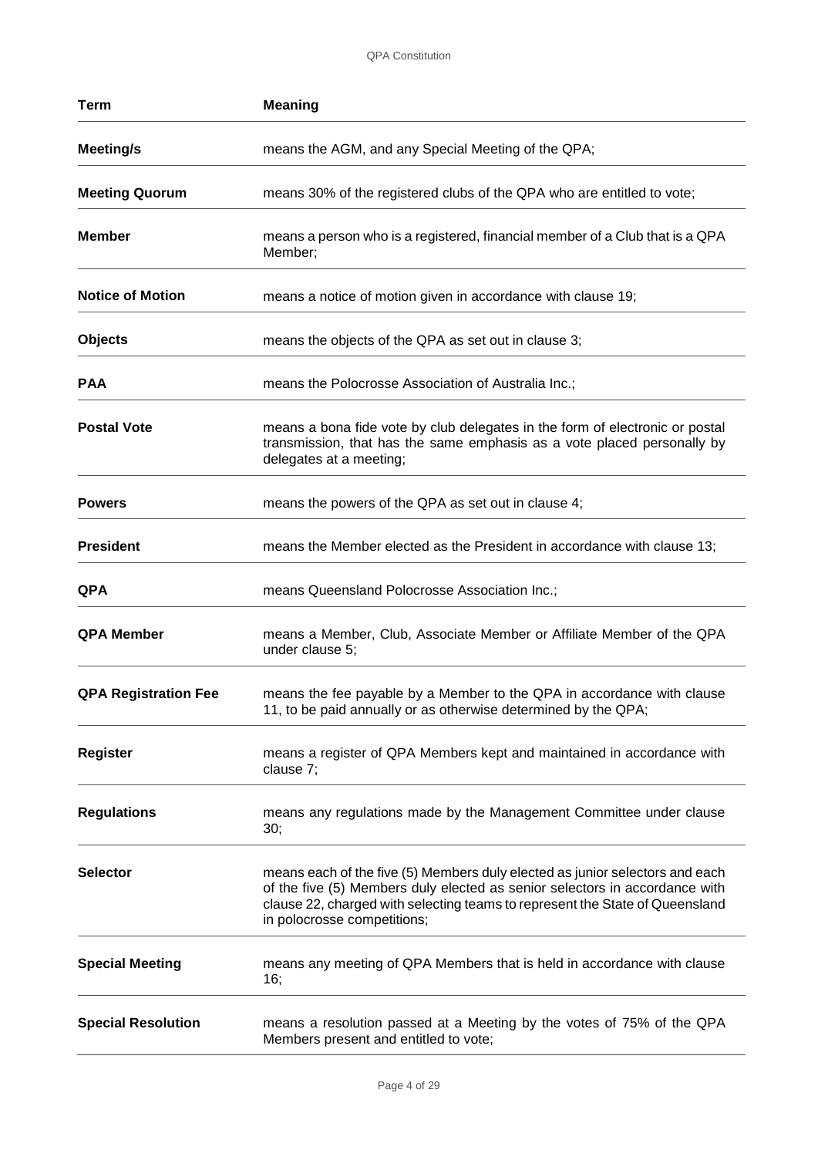QPA Constitution

| <b>Term</b>                 | <b>Meaning</b>                                                                                                                                                                                                                                                             |
|-----------------------------|----------------------------------------------------------------------------------------------------------------------------------------------------------------------------------------------------------------------------------------------------------------------------|
| Meeting/s                   | means the AGM, and any Special Meeting of the QPA;                                                                                                                                                                                                                         |
| <b>Meeting Quorum</b>       | means 30% of the registered clubs of the QPA who are entitled to vote;                                                                                                                                                                                                     |
| <b>Member</b>               | means a person who is a registered, financial member of a Club that is a QPA<br>Member;                                                                                                                                                                                    |
| <b>Notice of Motion</b>     | means a notice of motion given in accordance with clause 19;                                                                                                                                                                                                               |
| <b>Objects</b>              | means the objects of the QPA as set out in clause 3;                                                                                                                                                                                                                       |
| <b>PAA</b>                  | means the Polocrosse Association of Australia Inc.;                                                                                                                                                                                                                        |
| <b>Postal Vote</b>          | means a bona fide vote by club delegates in the form of electronic or postal<br>transmission, that has the same emphasis as a vote placed personally by<br>delegates at a meeting;                                                                                         |
| <b>Powers</b>               | means the powers of the QPA as set out in clause 4;                                                                                                                                                                                                                        |
| <b>President</b>            | means the Member elected as the President in accordance with clause 13;                                                                                                                                                                                                    |
| <b>QPA</b>                  | means Queensland Polocrosse Association Inc.;                                                                                                                                                                                                                              |
| <b>QPA Member</b>           | means a Member, Club, Associate Member or Affiliate Member of the QPA<br>under clause 5;                                                                                                                                                                                   |
| <b>QPA Registration Fee</b> | means the fee payable by a Member to the QPA in accordance with clause<br>11, to be paid annually or as otherwise determined by the QPA;                                                                                                                                   |
| <b>Register</b>             | means a register of QPA Members kept and maintained in accordance with<br>clause 7;                                                                                                                                                                                        |
| <b>Regulations</b>          | means any regulations made by the Management Committee under clause<br>30;                                                                                                                                                                                                 |
| <b>Selector</b>             | means each of the five (5) Members duly elected as junior selectors and each<br>of the five (5) Members duly elected as senior selectors in accordance with<br>clause 22, charged with selecting teams to represent the State of Queensland<br>in polocrosse competitions; |
| <b>Special Meeting</b>      | means any meeting of QPA Members that is held in accordance with clause<br>16;                                                                                                                                                                                             |
| <b>Special Resolution</b>   | means a resolution passed at a Meeting by the votes of 75% of the QPA<br>Members present and entitled to vote;                                                                                                                                                             |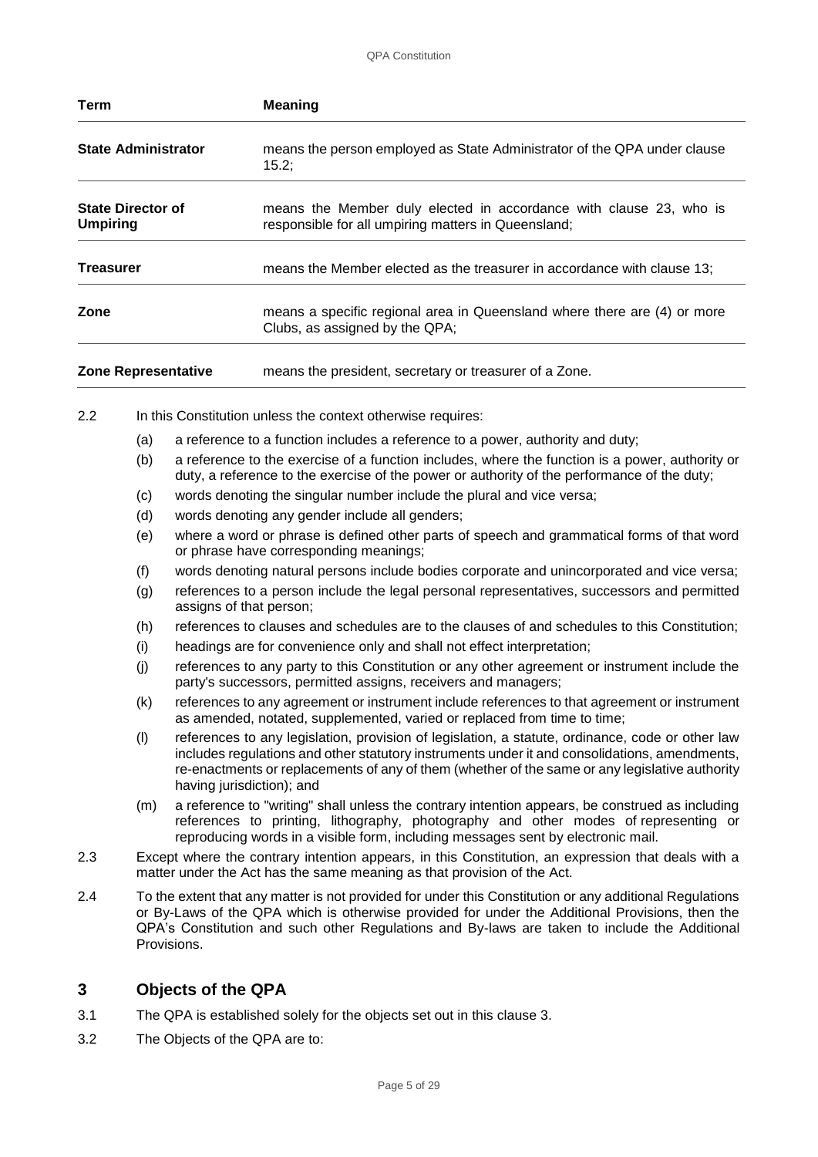| Term                                        | <b>Meaning</b>                                                                                                            |
|---------------------------------------------|---------------------------------------------------------------------------------------------------------------------------|
| <b>State Administrator</b>                  | means the person employed as State Administrator of the QPA under clause<br>15.2;                                         |
| <b>State Director of</b><br><b>Umpiring</b> | means the Member duly elected in accordance with clause 23, who is<br>responsible for all umpiring matters in Queensland; |
| <b>Treasurer</b>                            | means the Member elected as the treasurer in accordance with clause 13;                                                   |
| Zone                                        | means a specific regional area in Queensland where there are (4) or more<br>Clubs, as assigned by the QPA;                |
| <b>Zone Representative</b>                  | means the president, secretary or treasurer of a Zone.                                                                    |

- 2.2 In this Constitution unless the context otherwise requires:
	- (a) a reference to a function includes a reference to a power, authority and duty;
	- (b) a reference to the exercise of a function includes, where the function is a power, authority or duty, a reference to the exercise of the power or authority of the performance of the duty;
	- (c) words denoting the singular number include the plural and vice versa;
	- (d) words denoting any gender include all genders;
	- (e) where a word or phrase is defined other parts of speech and grammatical forms of that word or phrase have corresponding meanings;
	- (f) words denoting natural persons include bodies corporate and unincorporated and vice versa;
	- (g) references to a person include the legal personal representatives, successors and permitted assigns of that person;
	- (h) references to clauses and schedules are to the clauses of and schedules to this Constitution;
	- (i) headings are for convenience only and shall not effect interpretation;
	- (j) references to any party to this Constitution or any other agreement or instrument include the party's successors, permitted assigns, receivers and managers;
	- (k) references to any agreement or instrument include references to that agreement or instrument as amended, notated, supplemented, varied or replaced from time to time;
	- (l) references to any legislation, provision of legislation, a statute, ordinance, code or other law includes regulations and other statutory instruments under it and consolidations, amendments, re-enactments or replacements of any of them (whether of the same or any legislative authority having jurisdiction); and
	- (m) a reference to "writing" shall unless the contrary intention appears, be construed as including references to printing, lithography, photography and other modes of representing or reproducing words in a visible form, including messages sent by electronic mail.
- 2.3 Except where the contrary intention appears, in this Constitution, an expression that deals with a matter under the Act has the same meaning as that provision of the Act.
- 2.4 To the extent that any matter is not provided for under this Constitution or any additional Regulations or By-Laws of the QPA which is otherwise provided for under the Additional Provisions, then the QPA's Constitution and such other Regulations and By-laws are taken to include the Additional Provisions.

## **3 Objects of the QPA**

- 3.1 The QPA is established solely for the objects set out in this clause 3.
- 3.2 The Objects of the QPA are to: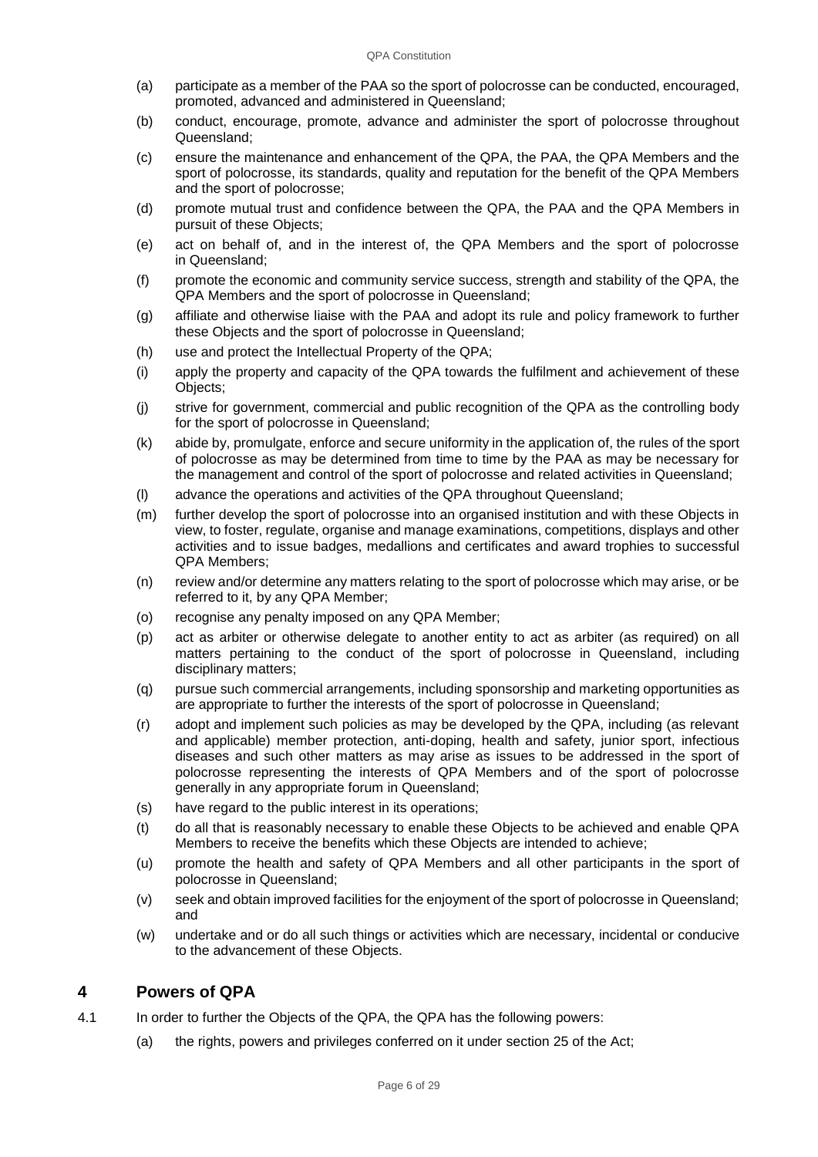- (a) participate as a member of the PAA so the sport of polocrosse can be conducted, encouraged, promoted, advanced and administered in Queensland;
- (b) conduct, encourage, promote, advance and administer the sport of polocrosse throughout Queensland;
- (c) ensure the maintenance and enhancement of the QPA, the PAA, the QPA Members and the sport of polocrosse, its standards, quality and reputation for the benefit of the QPA Members and the sport of polocrosse;
- (d) promote mutual trust and confidence between the QPA, the PAA and the QPA Members in pursuit of these Objects;
- (e) act on behalf of, and in the interest of, the QPA Members and the sport of polocrosse in Queensland;
- (f) promote the economic and community service success, strength and stability of the QPA, the QPA Members and the sport of polocrosse in Queensland;
- (g) affiliate and otherwise liaise with the PAA and adopt its rule and policy framework to further these Objects and the sport of polocrosse in Queensland;
- (h) use and protect the Intellectual Property of the QPA;
- (i) apply the property and capacity of the QPA towards the fulfilment and achievement of these Objects;
- (j) strive for government, commercial and public recognition of the QPA as the controlling body for the sport of polocrosse in Queensland;
- (k) abide by, promulgate, enforce and secure uniformity in the application of, the rules of the sport of polocrosse as may be determined from time to time by the PAA as may be necessary for the management and control of the sport of polocrosse and related activities in Queensland;
- (l) advance the operations and activities of the QPA throughout Queensland;
- (m) further develop the sport of polocrosse into an organised institution and with these Objects in view, to foster, regulate, organise and manage examinations, competitions, displays and other activities and to issue badges, medallions and certificates and award trophies to successful QPA Members;
- (n) review and/or determine any matters relating to the sport of polocrosse which may arise, or be referred to it, by any QPA Member;
- (o) recognise any penalty imposed on any QPA Member;
- (p) act as arbiter or otherwise delegate to another entity to act as arbiter (as required) on all matters pertaining to the conduct of the sport of polocrosse in Queensland, including disciplinary matters;
- (q) pursue such commercial arrangements, including sponsorship and marketing opportunities as are appropriate to further the interests of the sport of polocrosse in Queensland;
- (r) adopt and implement such policies as may be developed by the QPA, including (as relevant and applicable) member protection, anti-doping, health and safety, junior sport, infectious diseases and such other matters as may arise as issues to be addressed in the sport of polocrosse representing the interests of QPA Members and of the sport of polocrosse generally in any appropriate forum in Queensland;
- (s) have regard to the public interest in its operations;
- (t) do all that is reasonably necessary to enable these Objects to be achieved and enable QPA Members to receive the benefits which these Objects are intended to achieve;
- (u) promote the health and safety of QPA Members and all other participants in the sport of polocrosse in Queensland;
- (v) seek and obtain improved facilities for the enjoyment of the sport of polocrosse in Queensland; and
- (w) undertake and or do all such things or activities which are necessary, incidental or conducive to the advancement of these Objects.

## **4 Powers of QPA**

- 4.1 In order to further the Objects of the QPA, the QPA has the following powers:
	- (a) the rights, powers and privileges conferred on it under section 25 of the Act;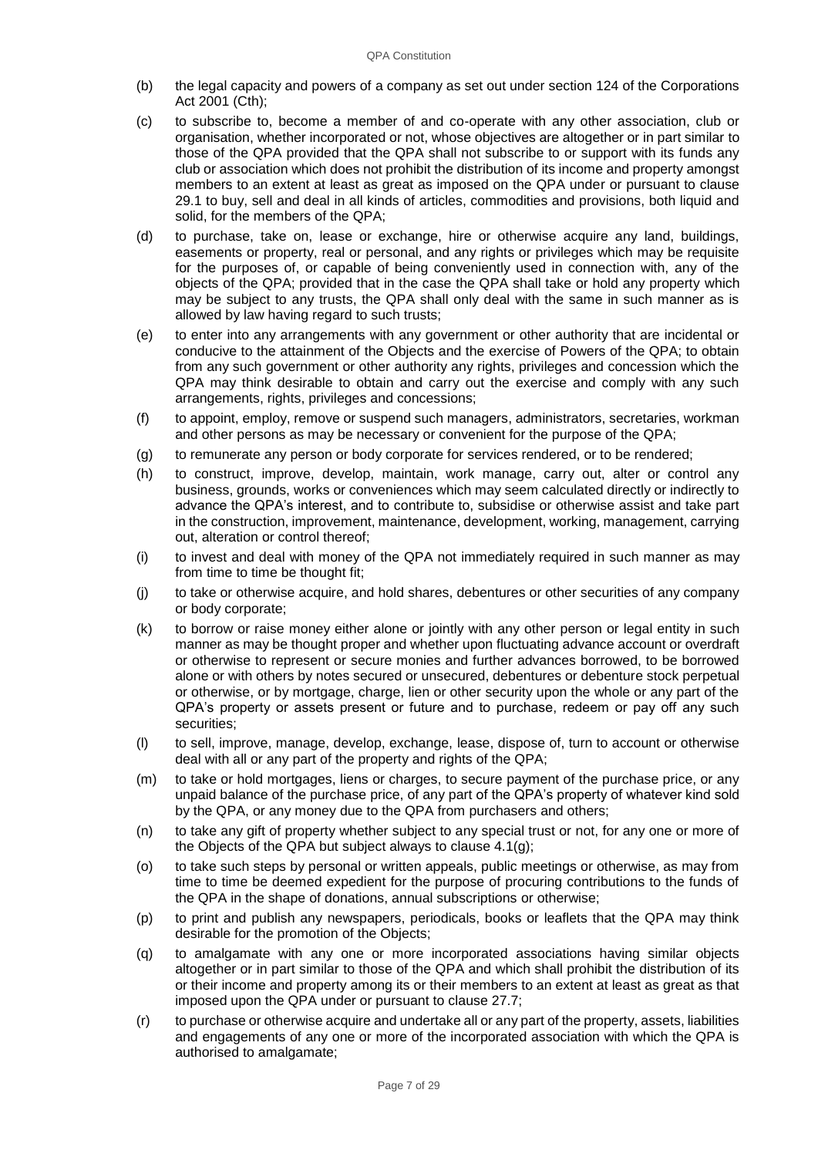- (b) the legal capacity and powers of a company as set out under section 124 of the Corporations Act 2001 (Cth);
- (c) to subscribe to, become a member of and co-operate with any other association, club or organisation, whether incorporated or not, whose objectives are altogether or in part similar to those of the QPA provided that the QPA shall not subscribe to or support with its funds any club or association which does not prohibit the distribution of its income and property amongst members to an extent at least as great as imposed on the QPA under or pursuant to clause 29.1 to buy, sell and deal in all kinds of articles, commodities and provisions, both liquid and solid, for the members of the QPA;
- (d) to purchase, take on, lease or exchange, hire or otherwise acquire any land, buildings, easements or property, real or personal, and any rights or privileges which may be requisite for the purposes of, or capable of being conveniently used in connection with, any of the objects of the QPA; provided that in the case the QPA shall take or hold any property which may be subject to any trusts, the QPA shall only deal with the same in such manner as is allowed by law having regard to such trusts;
- (e) to enter into any arrangements with any government or other authority that are incidental or conducive to the attainment of the Objects and the exercise of Powers of the QPA; to obtain from any such government or other authority any rights, privileges and concession which the QPA may think desirable to obtain and carry out the exercise and comply with any such arrangements, rights, privileges and concessions;
- (f) to appoint, employ, remove or suspend such managers, administrators, secretaries, workman and other persons as may be necessary or convenient for the purpose of the QPA;
- (g) to remunerate any person or body corporate for services rendered, or to be rendered;
- (h) to construct, improve, develop, maintain, work manage, carry out, alter or control any business, grounds, works or conveniences which may seem calculated directly or indirectly to advance the QPA's interest, and to contribute to, subsidise or otherwise assist and take part in the construction, improvement, maintenance, development, working, management, carrying out, alteration or control thereof;
- (i) to invest and deal with money of the QPA not immediately required in such manner as may from time to time be thought fit;
- (j) to take or otherwise acquire, and hold shares, debentures or other securities of any company or body corporate;
- (k) to borrow or raise money either alone or jointly with any other person or legal entity in such manner as may be thought proper and whether upon fluctuating advance account or overdraft or otherwise to represent or secure monies and further advances borrowed, to be borrowed alone or with others by notes secured or unsecured, debentures or debenture stock perpetual or otherwise, or by mortgage, charge, lien or other security upon the whole or any part of the QPA's property or assets present or future and to purchase, redeem or pay off any such securities;
- (l) to sell, improve, manage, develop, exchange, lease, dispose of, turn to account or otherwise deal with all or any part of the property and rights of the QPA;
- (m) to take or hold mortgages, liens or charges, to secure payment of the purchase price, or any unpaid balance of the purchase price, of any part of the QPA's property of whatever kind sold by the QPA, or any money due to the QPA from purchasers and others;
- (n) to take any gift of property whether subject to any special trust or not, for any one or more of the Objects of the QPA but subject always to clause 4.1(g);
- (o) to take such steps by personal or written appeals, public meetings or otherwise, as may from time to time be deemed expedient for the purpose of procuring contributions to the funds of the QPA in the shape of donations, annual subscriptions or otherwise;
- (p) to print and publish any newspapers, periodicals, books or leaflets that the QPA may think desirable for the promotion of the Objects;
- (q) to amalgamate with any one or more incorporated associations having similar objects altogether or in part similar to those of the QPA and which shall prohibit the distribution of its or their income and property among its or their members to an extent at least as great as that imposed upon the QPA under or pursuant to clause 27.7;
- (r) to purchase or otherwise acquire and undertake all or any part of the property, assets, liabilities and engagements of any one or more of the incorporated association with which the QPA is authorised to amalgamate;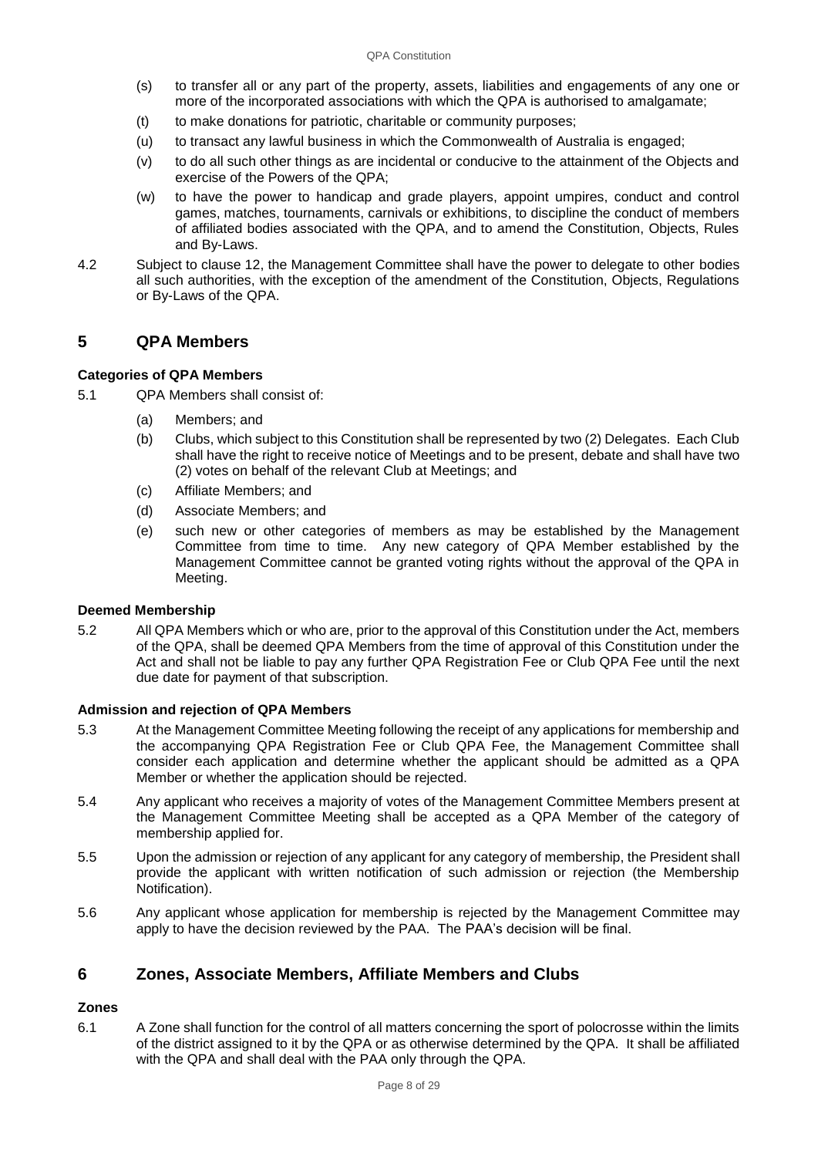- (s) to transfer all or any part of the property, assets, liabilities and engagements of any one or more of the incorporated associations with which the QPA is authorised to amalgamate;
- (t) to make donations for patriotic, charitable or community purposes;
- (u) to transact any lawful business in which the Commonwealth of Australia is engaged;
- (v) to do all such other things as are incidental or conducive to the attainment of the Objects and exercise of the Powers of the QPA;
- (w) to have the power to handicap and grade players, appoint umpires, conduct and control games, matches, tournaments, carnivals or exhibitions, to discipline the conduct of members of affiliated bodies associated with the QPA, and to amend the Constitution, Objects, Rules and By-Laws.
- 4.2 Subject to clause 12, the Management Committee shall have the power to delegate to other bodies all such authorities, with the exception of the amendment of the Constitution, Objects, Regulations or By-Laws of the QPA.

## **5 QPA Members**

## **Categories of QPA Members**

- 5.1 QPA Members shall consist of:
	- (a) Members; and
	- (b) Clubs, which subject to this Constitution shall be represented by two (2) Delegates. Each Club shall have the right to receive notice of Meetings and to be present, debate and shall have two (2) votes on behalf of the relevant Club at Meetings; and
	- (c) Affiliate Members; and
	- (d) Associate Members; and
	- (e) such new or other categories of members as may be established by the Management Committee from time to time. Any new category of QPA Member established by the Management Committee cannot be granted voting rights without the approval of the QPA in Meeting.

## **Deemed Membership**

5.2 All QPA Members which or who are, prior to the approval of this Constitution under the Act, members of the QPA, shall be deemed QPA Members from the time of approval of this Constitution under the Act and shall not be liable to pay any further QPA Registration Fee or Club QPA Fee until the next due date for payment of that subscription.

## **Admission and rejection of QPA Members**

- 5.3 At the Management Committee Meeting following the receipt of any applications for membership and the accompanying QPA Registration Fee or Club QPA Fee, the Management Committee shall consider each application and determine whether the applicant should be admitted as a QPA Member or whether the application should be rejected.
- 5.4 Any applicant who receives a majority of votes of the Management Committee Members present at the Management Committee Meeting shall be accepted as a QPA Member of the category of membership applied for.
- 5.5 Upon the admission or rejection of any applicant for any category of membership, the President shall provide the applicant with written notification of such admission or rejection (the Membership Notification).
- 5.6 Any applicant whose application for membership is rejected by the Management Committee may apply to have the decision reviewed by the PAA. The PAA's decision will be final.

## **6 Zones, Associate Members, Affiliate Members and Clubs**

## **Zones**

6.1 A Zone shall function for the control of all matters concerning the sport of polocrosse within the limits of the district assigned to it by the QPA or as otherwise determined by the QPA. It shall be affiliated with the QPA and shall deal with the PAA only through the QPA.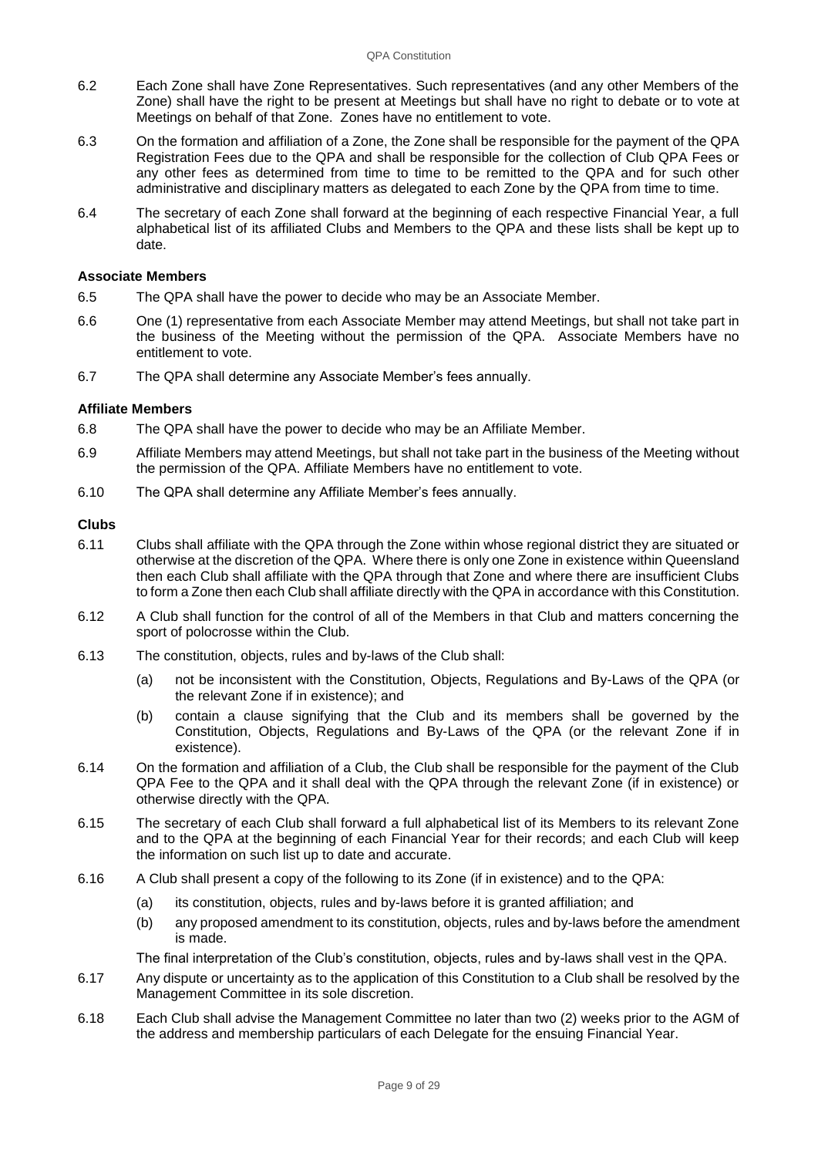- 6.2 Each Zone shall have Zone Representatives. Such representatives (and any other Members of the Zone) shall have the right to be present at Meetings but shall have no right to debate or to vote at Meetings on behalf of that Zone. Zones have no entitlement to vote.
- 6.3 On the formation and affiliation of a Zone, the Zone shall be responsible for the payment of the QPA Registration Fees due to the QPA and shall be responsible for the collection of Club QPA Fees or any other fees as determined from time to time to be remitted to the QPA and for such other administrative and disciplinary matters as delegated to each Zone by the QPA from time to time.
- 6.4 The secretary of each Zone shall forward at the beginning of each respective Financial Year, a full alphabetical list of its affiliated Clubs and Members to the QPA and these lists shall be kept up to date.

#### **Associate Members**

- 6.5 The QPA shall have the power to decide who may be an Associate Member.
- 6.6 One (1) representative from each Associate Member may attend Meetings, but shall not take part in the business of the Meeting without the permission of the QPA. Associate Members have no entitlement to vote.
- 6.7 The QPA shall determine any Associate Member's fees annually.

#### **Affiliate Members**

- 6.8 The QPA shall have the power to decide who may be an Affiliate Member.
- 6.9 Affiliate Members may attend Meetings, but shall not take part in the business of the Meeting without the permission of the QPA. Affiliate Members have no entitlement to vote.
- 6.10 The QPA shall determine any Affiliate Member's fees annually.

#### **Clubs**

- 6.11 Clubs shall affiliate with the QPA through the Zone within whose regional district they are situated or otherwise at the discretion of the QPA. Where there is only one Zone in existence within Queensland then each Club shall affiliate with the QPA through that Zone and where there are insufficient Clubs to form a Zone then each Club shall affiliate directly with the QPA in accordance with this Constitution.
- 6.12 A Club shall function for the control of all of the Members in that Club and matters concerning the sport of polocrosse within the Club.
- 6.13 The constitution, objects, rules and by-laws of the Club shall:
	- (a) not be inconsistent with the Constitution, Objects, Regulations and By-Laws of the QPA (or the relevant Zone if in existence); and
	- (b) contain a clause signifying that the Club and its members shall be governed by the Constitution, Objects, Regulations and By-Laws of the QPA (or the relevant Zone if in existence).
- 6.14 On the formation and affiliation of a Club, the Club shall be responsible for the payment of the Club QPA Fee to the QPA and it shall deal with the QPA through the relevant Zone (if in existence) or otherwise directly with the QPA.
- 6.15 The secretary of each Club shall forward a full alphabetical list of its Members to its relevant Zone and to the QPA at the beginning of each Financial Year for their records; and each Club will keep the information on such list up to date and accurate.
- 6.16 A Club shall present a copy of the following to its Zone (if in existence) and to the QPA:
	- (a) its constitution, objects, rules and by-laws before it is granted affiliation; and
	- (b) any proposed amendment to its constitution, objects, rules and by-laws before the amendment is made.

The final interpretation of the Club's constitution, objects, rules and by-laws shall vest in the QPA.

- 6.17 Any dispute or uncertainty as to the application of this Constitution to a Club shall be resolved by the Management Committee in its sole discretion.
- 6.18 Each Club shall advise the Management Committee no later than two (2) weeks prior to the AGM of the address and membership particulars of each Delegate for the ensuing Financial Year.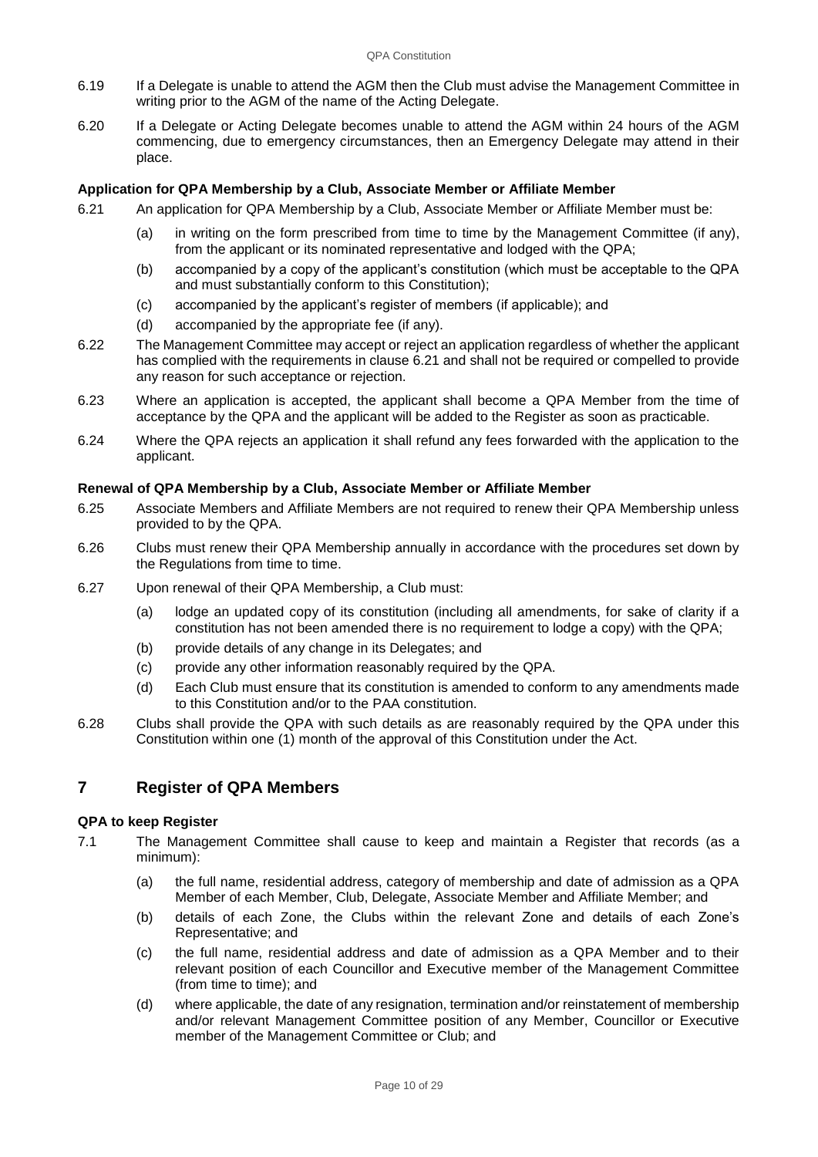- 6.19 If a Delegate is unable to attend the AGM then the Club must advise the Management Committee in writing prior to the AGM of the name of the Acting Delegate.
- 6.20 If a Delegate or Acting Delegate becomes unable to attend the AGM within 24 hours of the AGM commencing, due to emergency circumstances, then an Emergency Delegate may attend in their place.

## **Application for QPA Membership by a Club, Associate Member or Affiliate Member**

- 6.21 An application for QPA Membership by a Club, Associate Member or Affiliate Member must be:
	- (a) in writing on the form prescribed from time to time by the Management Committee (if any), from the applicant or its nominated representative and lodged with the QPA;
	- (b) accompanied by a copy of the applicant's constitution (which must be acceptable to the QPA and must substantially conform to this Constitution);
	- (c) accompanied by the applicant's register of members (if applicable); and
	- (d) accompanied by the appropriate fee (if any).
- 6.22 The Management Committee may accept or reject an application regardless of whether the applicant has complied with the requirements in clause 6.21 and shall not be required or compelled to provide any reason for such acceptance or rejection.
- 6.23 Where an application is accepted, the applicant shall become a QPA Member from the time of acceptance by the QPA and the applicant will be added to the Register as soon as practicable.
- 6.24 Where the QPA rejects an application it shall refund any fees forwarded with the application to the applicant.

## **Renewal of QPA Membership by a Club, Associate Member or Affiliate Member**

- 6.25 Associate Members and Affiliate Members are not required to renew their QPA Membership unless provided to by the QPA.
- 6.26 Clubs must renew their QPA Membership annually in accordance with the procedures set down by the Regulations from time to time.
- 6.27 Upon renewal of their QPA Membership, a Club must:
	- (a) lodge an updated copy of its constitution (including all amendments, for sake of clarity if a constitution has not been amended there is no requirement to lodge a copy) with the QPA;
	- (b) provide details of any change in its Delegates; and
	- (c) provide any other information reasonably required by the QPA.
	- (d) Each Club must ensure that its constitution is amended to conform to any amendments made to this Constitution and/or to the PAA constitution.
- 6.28 Clubs shall provide the QPA with such details as are reasonably required by the QPA under this Constitution within one (1) month of the approval of this Constitution under the Act.

## **7 Register of QPA Members**

## **QPA to keep Register**

- 7.1 The Management Committee shall cause to keep and maintain a Register that records (as a minimum):
	- (a) the full name, residential address, category of membership and date of admission as a QPA Member of each Member, Club, Delegate, Associate Member and Affiliate Member; and
	- (b) details of each Zone, the Clubs within the relevant Zone and details of each Zone's Representative; and
	- (c) the full name, residential address and date of admission as a QPA Member and to their relevant position of each Councillor and Executive member of the Management Committee (from time to time); and
	- (d) where applicable, the date of any resignation, termination and/or reinstatement of membership and/or relevant Management Committee position of any Member, Councillor or Executive member of the Management Committee or Club; and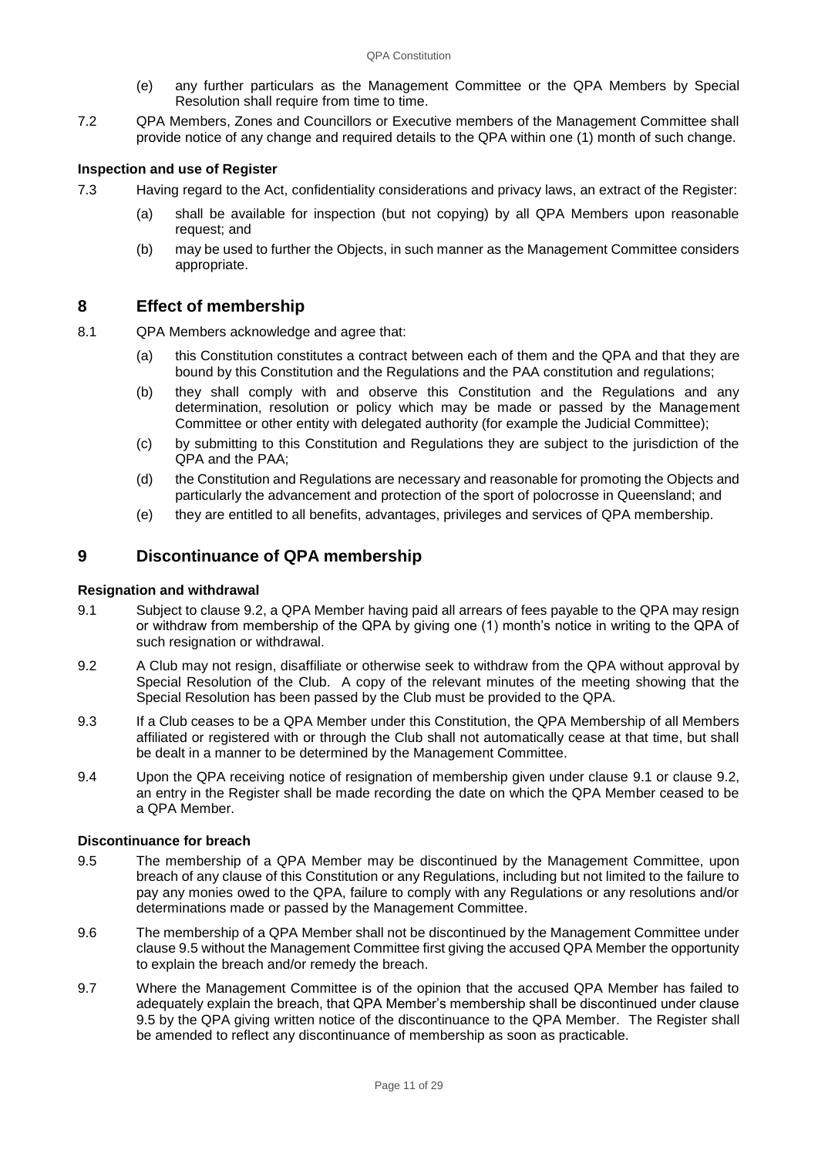- (e) any further particulars as the Management Committee or the QPA Members by Special Resolution shall require from time to time.
- 7.2 QPA Members, Zones and Councillors or Executive members of the Management Committee shall provide notice of any change and required details to the QPA within one (1) month of such change.

## **Inspection and use of Register**

- 7.3 Having regard to the Act, confidentiality considerations and privacy laws, an extract of the Register:
	- (a) shall be available for inspection (but not copying) by all QPA Members upon reasonable request; and
	- (b) may be used to further the Objects, in such manner as the Management Committee considers appropriate.

## **8 Effect of membership**

- 8.1 QPA Members acknowledge and agree that:
	- (a) this Constitution constitutes a contract between each of them and the QPA and that they are bound by this Constitution and the Regulations and the PAA constitution and regulations;
	- (b) they shall comply with and observe this Constitution and the Regulations and any determination, resolution or policy which may be made or passed by the Management Committee or other entity with delegated authority (for example the Judicial Committee);
	- (c) by submitting to this Constitution and Regulations they are subject to the jurisdiction of the QPA and the PAA;
	- (d) the Constitution and Regulations are necessary and reasonable for promoting the Objects and particularly the advancement and protection of the sport of polocrosse in Queensland; and
	- (e) they are entitled to all benefits, advantages, privileges and services of QPA membership.

## **9 Discontinuance of QPA membership**

## **Resignation and withdrawal**

- <span id="page-10-0"></span>9.1 Subject to clause 9.2, a QPA Member having paid all arrears of fees payable to the QPA may resign or withdraw from membership of the QPA by giving one (1) month's notice in writing to the QPA of such resignation or withdrawal.
- <span id="page-10-1"></span>9.2 A Club may not resign, disaffiliate or otherwise seek to withdraw from the QPA without approval by Special Resolution of the Club. A copy of the relevant minutes of the meeting showing that the Special Resolution has been passed by the Club must be provided to the QPA.
- 9.3 If a Club ceases to be a QPA Member under this Constitution, the QPA Membership of all Members affiliated or registered with or through the Club shall not automatically cease at that time, but shall be dealt in a manner to be determined by the Management Committee.
- 9.4 Upon the QPA receiving notice of resignation of membership given under clause [9.1](#page-10-0) or clause [9.2,](#page-10-1) an entry in the Register shall be made recording the date on which the QPA Member ceased to be a QPA Member.

## **Discontinuance for breach**

- <span id="page-10-2"></span>9.5 The membership of a QPA Member may be discontinued by the Management Committee, upon breach of any clause of this Constitution or any Regulations, including but not limited to the failure to pay any monies owed to the QPA, failure to comply with any Regulations or any resolutions and/or determinations made or passed by the Management Committee.
- 9.6 The membership of a QPA Member shall not be discontinued by the Management Committee under claus[e 9.5](#page-10-2) without the Management Committee first giving the accused QPA Member the opportunity to explain the breach and/or remedy the breach.
- 9.7 Where the Management Committee is of the opinion that the accused QPA Member has failed to adequately explain the breach, that QPA Member's membership shall be discontinued under clause [9.5](#page-10-2) by the QPA giving written notice of the discontinuance to the QPA Member. The Register shall be amended to reflect any discontinuance of membership as soon as practicable.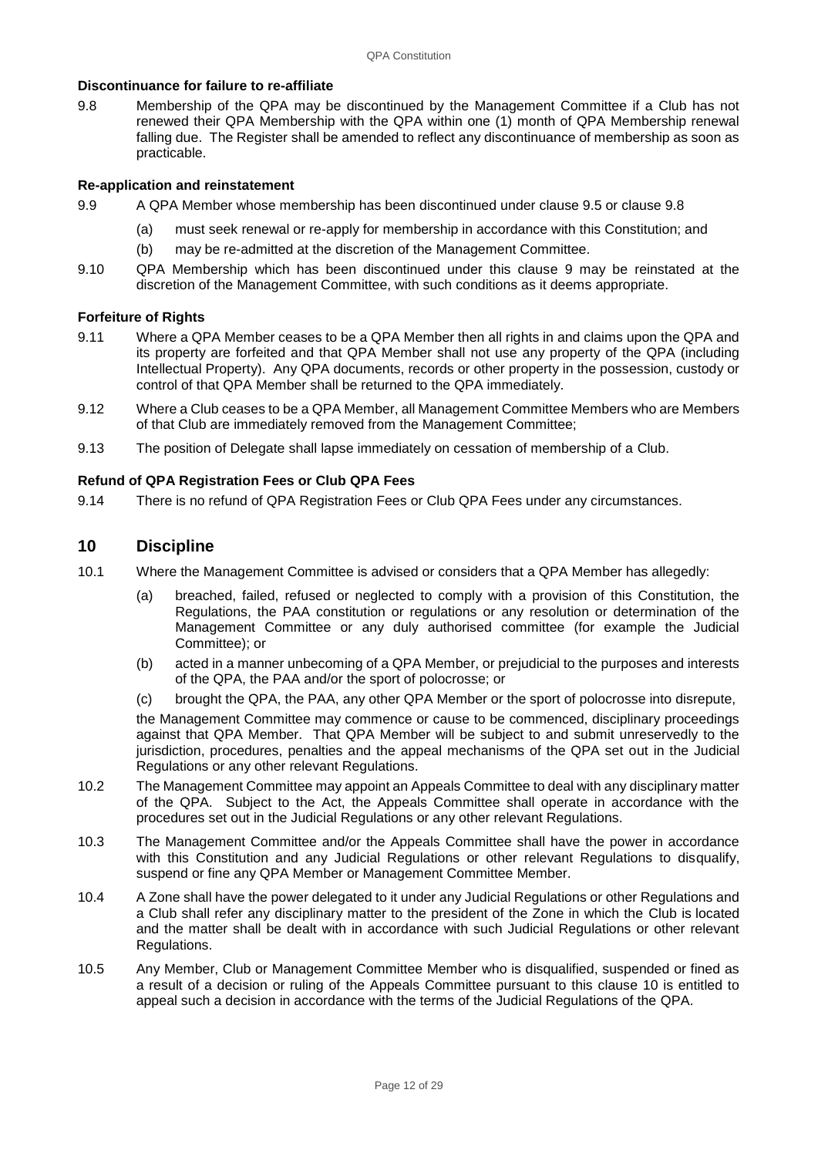### **Discontinuance for failure to re-affiliate**

9.8 Membership of the QPA may be discontinued by the Management Committee if a Club has not renewed their QPA Membership with the QPA within one (1) month of QPA Membership renewal falling due. The Register shall be amended to reflect any discontinuance of membership as soon as practicable.

#### **Re-application and reinstatement**

- 9.9 A QPA Member whose membership has been discontinued under clause 9.5 or clause 9.8
	- (a) must seek renewal or re-apply for membership in accordance with this Constitution; and
	- (b) may be re-admitted at the discretion of the Management Committee.
- 9.10 QPA Membership which has been discontinued under this clause 9 may be reinstated at the discretion of the Management Committee, with such conditions as it deems appropriate.

#### **Forfeiture of Rights**

- 9.11 Where a QPA Member ceases to be a QPA Member then all rights in and claims upon the QPA and its property are forfeited and that QPA Member shall not use any property of the QPA (including Intellectual Property). Any QPA documents, records or other property in the possession, custody or control of that QPA Member shall be returned to the QPA immediately.
- 9.12 Where a Club ceases to be a QPA Member, all Management Committee Members who are Members of that Club are immediately removed from the Management Committee;
- 9.13 The position of Delegate shall lapse immediately on cessation of membership of a Club.

#### **Refund of QPA Registration Fees or Club QPA Fees**

9.14 There is no refund of QPA Registration Fees or Club QPA Fees under any circumstances.

## **10 Discipline**

- 10.1 Where the Management Committee is advised or considers that a QPA Member has allegedly:
	- (a) breached, failed, refused or neglected to comply with a provision of this Constitution, the Regulations, the PAA constitution or regulations or any resolution or determination of the Management Committee or any duly authorised committee (for example the Judicial Committee); or
	- (b) acted in a manner unbecoming of a QPA Member, or prejudicial to the purposes and interests of the QPA, the PAA and/or the sport of polocrosse; or
	- (c) brought the QPA, the PAA, any other QPA Member or the sport of polocrosse into disrepute,

the Management Committee may commence or cause to be commenced, disciplinary proceedings against that QPA Member. That QPA Member will be subject to and submit unreservedly to the jurisdiction, procedures, penalties and the appeal mechanisms of the QPA set out in the Judicial Regulations or any other relevant Regulations.

- 10.2 The Management Committee may appoint an Appeals Committee to deal with any disciplinary matter of the QPA. Subject to the Act, the Appeals Committee shall operate in accordance with the procedures set out in the Judicial Regulations or any other relevant Regulations.
- 10.3 The Management Committee and/or the Appeals Committee shall have the power in accordance with this Constitution and any Judicial Regulations or other relevant Regulations to disqualify, suspend or fine any QPA Member or Management Committee Member.
- 10.4 A Zone shall have the power delegated to it under any Judicial Regulations or other Regulations and a Club shall refer any disciplinary matter to the president of the Zone in which the Club is located and the matter shall be dealt with in accordance with such Judicial Regulations or other relevant Regulations.
- 10.5 Any Member, Club or Management Committee Member who is disqualified, suspended or fined as a result of a decision or ruling of the Appeals Committee pursuant to this clause 10 is entitled to appeal such a decision in accordance with the terms of the Judicial Regulations of the QPA.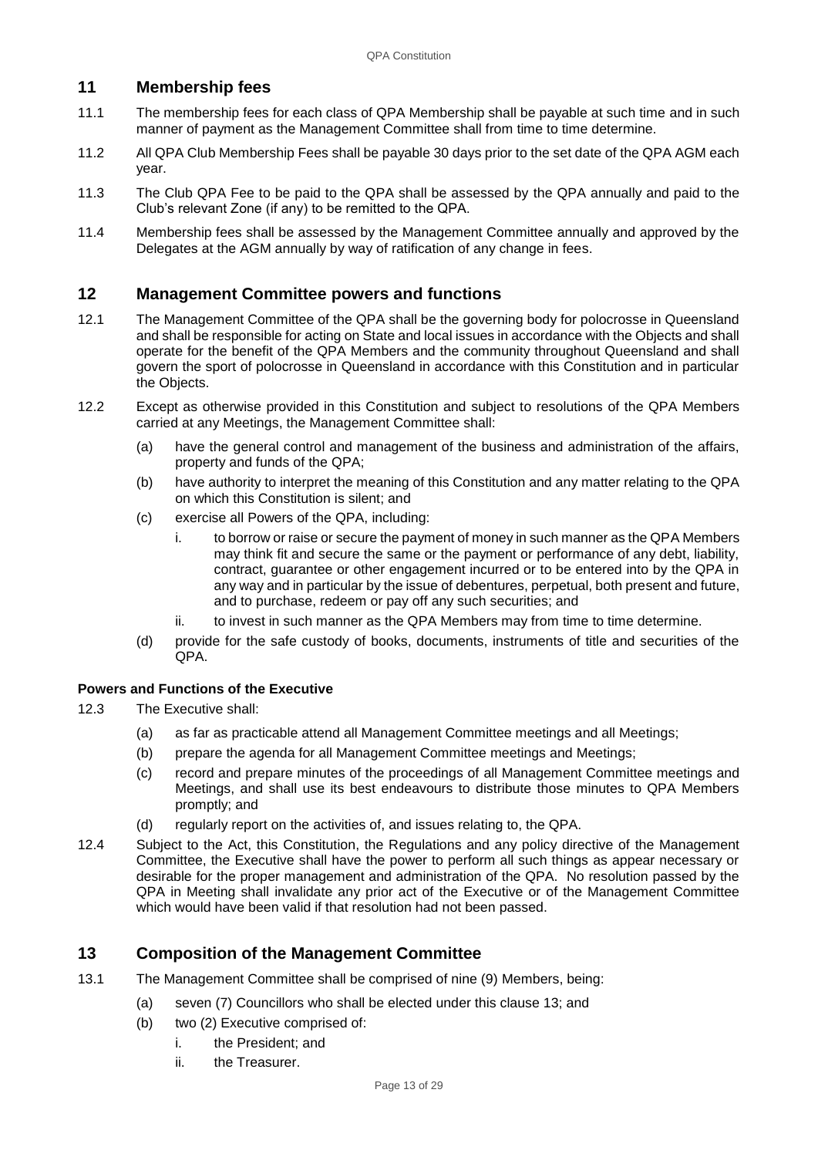## **11 Membership fees**

- 11.1 The membership fees for each class of QPA Membership shall be payable at such time and in such manner of payment as the Management Committee shall from time to time determine.
- 11.2 All QPA Club Membership Fees shall be payable 30 days prior to the set date of the QPA AGM each year.
- 11.3 The Club QPA Fee to be paid to the QPA shall be assessed by the QPA annually and paid to the Club's relevant Zone (if any) to be remitted to the QPA.
- 11.4 Membership fees shall be assessed by the Management Committee annually and approved by the Delegates at the AGM annually by way of ratification of any change in fees.

## **12 Management Committee powers and functions**

- 12.1 The Management Committee of the QPA shall be the governing body for polocrosse in Queensland and shall be responsible for acting on State and local issues in accordance with the Objects and shall operate for the benefit of the QPA Members and the community throughout Queensland and shall govern the sport of polocrosse in Queensland in accordance with this Constitution and in particular the Objects.
- 12.2 Except as otherwise provided in this Constitution and subject to resolutions of the QPA Members carried at any Meetings, the Management Committee shall:
	- (a) have the general control and management of the business and administration of the affairs, property and funds of the QPA;
	- (b) have authority to interpret the meaning of this Constitution and any matter relating to the QPA on which this Constitution is silent; and
	- (c) exercise all Powers of the QPA, including:
		- i. to borrow or raise or secure the payment of money in such manner as the QPA Members may think fit and secure the same or the payment or performance of any debt, liability, contract, guarantee or other engagement incurred or to be entered into by the QPA in any way and in particular by the issue of debentures, perpetual, both present and future, and to purchase, redeem or pay off any such securities; and
		- ii. to invest in such manner as the QPA Members may from time to time determine.
	- (d) provide for the safe custody of books, documents, instruments of title and securities of the QPA.

## **Powers and Functions of the Executive**

- 12.3 The Executive shall:
	- (a) as far as practicable attend all Management Committee meetings and all Meetings;
	- (b) prepare the agenda for all Management Committee meetings and Meetings;
	- (c) record and prepare minutes of the proceedings of all Management Committee meetings and Meetings, and shall use its best endeavours to distribute those minutes to QPA Members promptly; and
	- (d) regularly report on the activities of, and issues relating to, the QPA.
- 12.4 Subject to the Act, this Constitution, the Regulations and any policy directive of the Management Committee, the Executive shall have the power to perform all such things as appear necessary or desirable for the proper management and administration of the QPA. No resolution passed by the QPA in Meeting shall invalidate any prior act of the Executive or of the Management Committee which would have been valid if that resolution had not been passed.

## **13 Composition of the Management Committee**

- 13.1 The Management Committee shall be comprised of nine (9) Members, being:
	- (a) seven (7) Councillors who shall be elected under this clause 13; and
		- (b) two (2) Executive comprised of:
			- i. the President; and
			- ii. the Treasurer.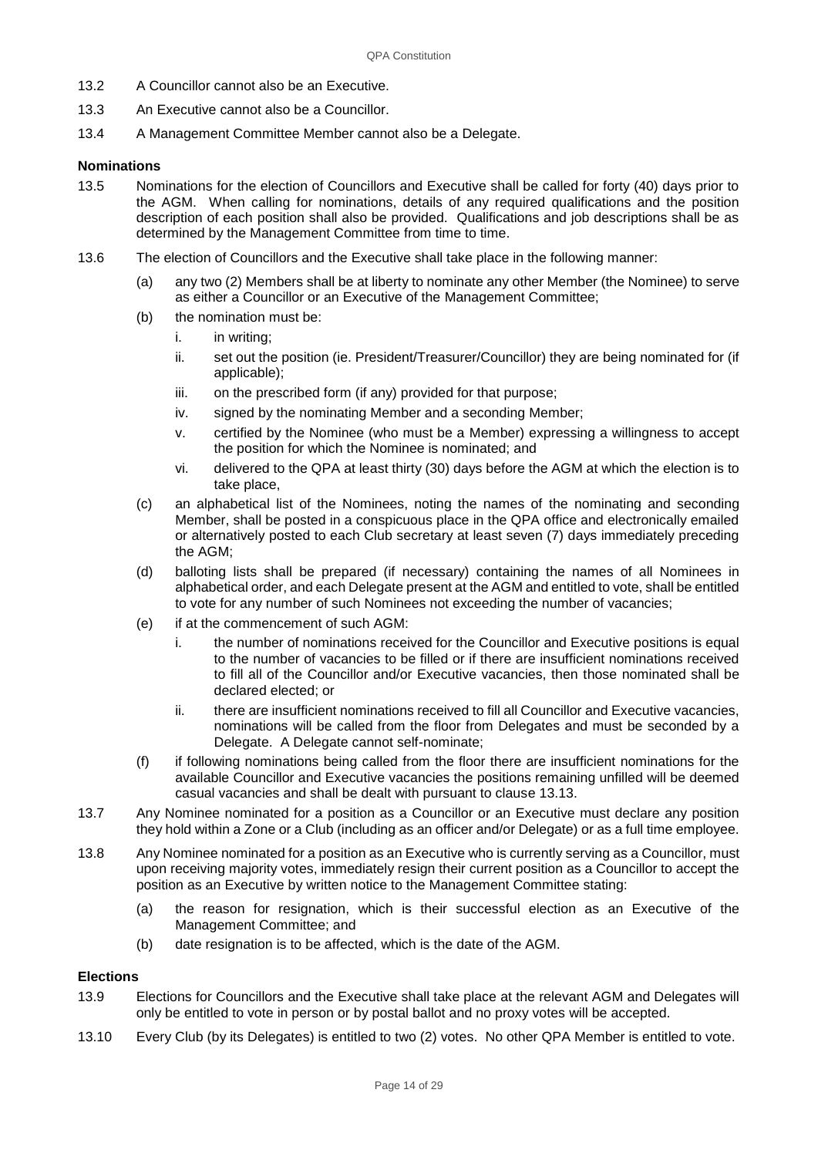- 13.2 A Councillor cannot also be an Executive.
- 13.3 An Executive cannot also be a Councillor.
- 13.4 A Management Committee Member cannot also be a Delegate.

#### **Nominations**

- 13.5 Nominations for the election of Councillors and Executive shall be called for forty (40) days prior to the AGM. When calling for nominations, details of any required qualifications and the position description of each position shall also be provided. Qualifications and job descriptions shall be as determined by the Management Committee from time to time.
- 13.6 The election of Councillors and the Executive shall take place in the following manner:
	- (a) any two (2) Members shall be at liberty to nominate any other Member (the Nominee) to serve as either a Councillor or an Executive of the Management Committee;
	- (b) the nomination must be:
		- i. in writing;
		- ii. set out the position (ie. President/Treasurer/Councillor) they are being nominated for (if applicable);
		- iii. on the prescribed form (if any) provided for that purpose;
		- iv. signed by the nominating Member and a seconding Member;
		- v. certified by the Nominee (who must be a Member) expressing a willingness to accept the position for which the Nominee is nominated; and
		- vi. delivered to the QPA at least thirty (30) days before the AGM at which the election is to take place,
	- (c) an alphabetical list of the Nominees, noting the names of the nominating and seconding Member, shall be posted in a conspicuous place in the QPA office and electronically emailed or alternatively posted to each Club secretary at least seven (7) days immediately preceding the AGM;
	- (d) balloting lists shall be prepared (if necessary) containing the names of all Nominees in alphabetical order, and each Delegate present at the AGM and entitled to vote, shall be entitled to vote for any number of such Nominees not exceeding the number of vacancies;
	- (e) if at the commencement of such AGM:
		- i. the number of nominations received for the Councillor and Executive positions is equal to the number of vacancies to be filled or if there are insufficient nominations received to fill all of the Councillor and/or Executive vacancies, then those nominated shall be declared elected; or
		- ii. there are insufficient nominations received to fill all Councillor and Executive vacancies, nominations will be called from the floor from Delegates and must be seconded by a Delegate. A Delegate cannot self-nominate;
	- (f) if following nominations being called from the floor there are insufficient nominations for the available Councillor and Executive vacancies the positions remaining unfilled will be deemed casual vacancies and shall be dealt with pursuant to clause 13.13.
- 13.7 Any Nominee nominated for a position as a Councillor or an Executive must declare any position they hold within a Zone or a Club (including as an officer and/or Delegate) or as a full time employee.
- 13.8 Any Nominee nominated for a position as an Executive who is currently serving as a Councillor, must upon receiving majority votes, immediately resign their current position as a Councillor to accept the position as an Executive by written notice to the Management Committee stating:
	- (a) the reason for resignation, which is their successful election as an Executive of the Management Committee; and
	- (b) date resignation is to be affected, which is the date of the AGM.

## **Elections**

- 13.9 Elections for Councillors and the Executive shall take place at the relevant AGM and Delegates will only be entitled to vote in person or by postal ballot and no proxy votes will be accepted.
- 13.10 Every Club (by its Delegates) is entitled to two (2) votes. No other QPA Member is entitled to vote.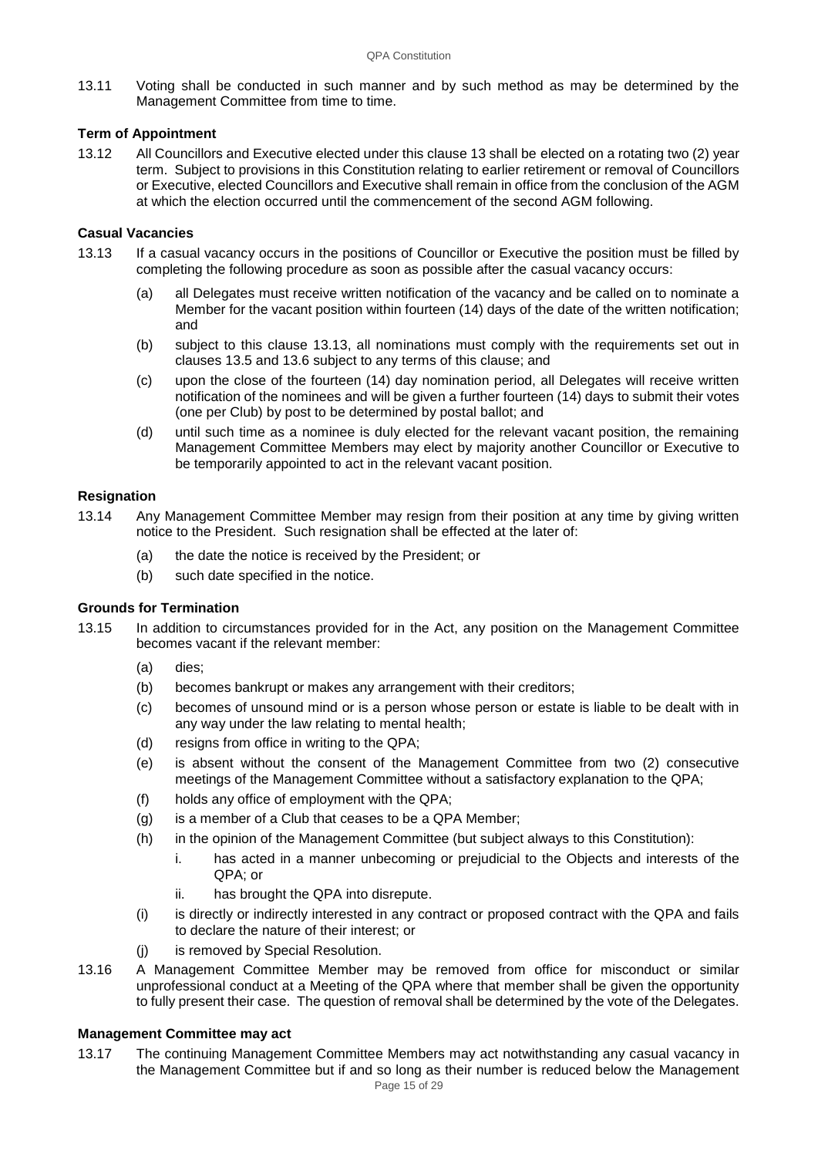13.11 Voting shall be conducted in such manner and by such method as may be determined by the Management Committee from time to time.

## **Term of Appointment**

13.12 All Councillors and Executive elected under this clause 13 shall be elected on a rotating two (2) year term. Subject to provisions in this Constitution relating to earlier retirement or removal of Councillors or Executive, elected Councillors and Executive shall remain in office from the conclusion of the AGM at which the election occurred until the commencement of the second AGM following.

## **Casual Vacancies**

- 13.13 If a casual vacancy occurs in the positions of Councillor or Executive the position must be filled by completing the following procedure as soon as possible after the casual vacancy occurs:
	- (a) all Delegates must receive written notification of the vacancy and be called on to nominate a Member for the vacant position within fourteen (14) days of the date of the written notification; and
	- (b) subject to this clause 13.13, all nominations must comply with the requirements set out in clauses 13.5 and 13.6 subject to any terms of this clause; and
	- (c) upon the close of the fourteen (14) day nomination period, all Delegates will receive written notification of the nominees and will be given a further fourteen (14) days to submit their votes (one per Club) by post to be determined by postal ballot; and
	- (d) until such time as a nominee is duly elected for the relevant vacant position, the remaining Management Committee Members may elect by majority another Councillor or Executive to be temporarily appointed to act in the relevant vacant position.

## **Resignation**

- 13.14 Any Management Committee Member may resign from their position at any time by giving written notice to the President. Such resignation shall be effected at the later of:
	- (a) the date the notice is received by the President; or
	- (b) such date specified in the notice.

## **Grounds for Termination**

- 13.15 In addition to circumstances provided for in the Act, any position on the Management Committee becomes vacant if the relevant member:
	- (a) dies;
	- (b) becomes bankrupt or makes any arrangement with their creditors;
	- (c) becomes of unsound mind or is a person whose person or estate is liable to be dealt with in any way under the law relating to mental health;
	- (d) resigns from office in writing to the QPA;
	- (e) is absent without the consent of the Management Committee from two (2) consecutive meetings of the Management Committee without a satisfactory explanation to the QPA;
	- (f) holds any office of employment with the QPA;
	- (g) is a member of a Club that ceases to be a QPA Member;
	- (h) in the opinion of the Management Committee (but subject always to this Constitution):
		- i. has acted in a manner unbecoming or prejudicial to the Objects and interests of the QPA; or
		- ii. has brought the QPA into disrepute.
	- (i) is directly or indirectly interested in any contract or proposed contract with the QPA and fails to declare the nature of their interest; or
	- (j) is removed by Special Resolution.
- 13.16 A Management Committee Member may be removed from office for misconduct or similar unprofessional conduct at a Meeting of the QPA where that member shall be given the opportunity to fully present their case. The question of removal shall be determined by the vote of the Delegates.

## **Management Committee may act**

13.17 The continuing Management Committee Members may act notwithstanding any casual vacancy in the Management Committee but if and so long as their number is reduced below the Management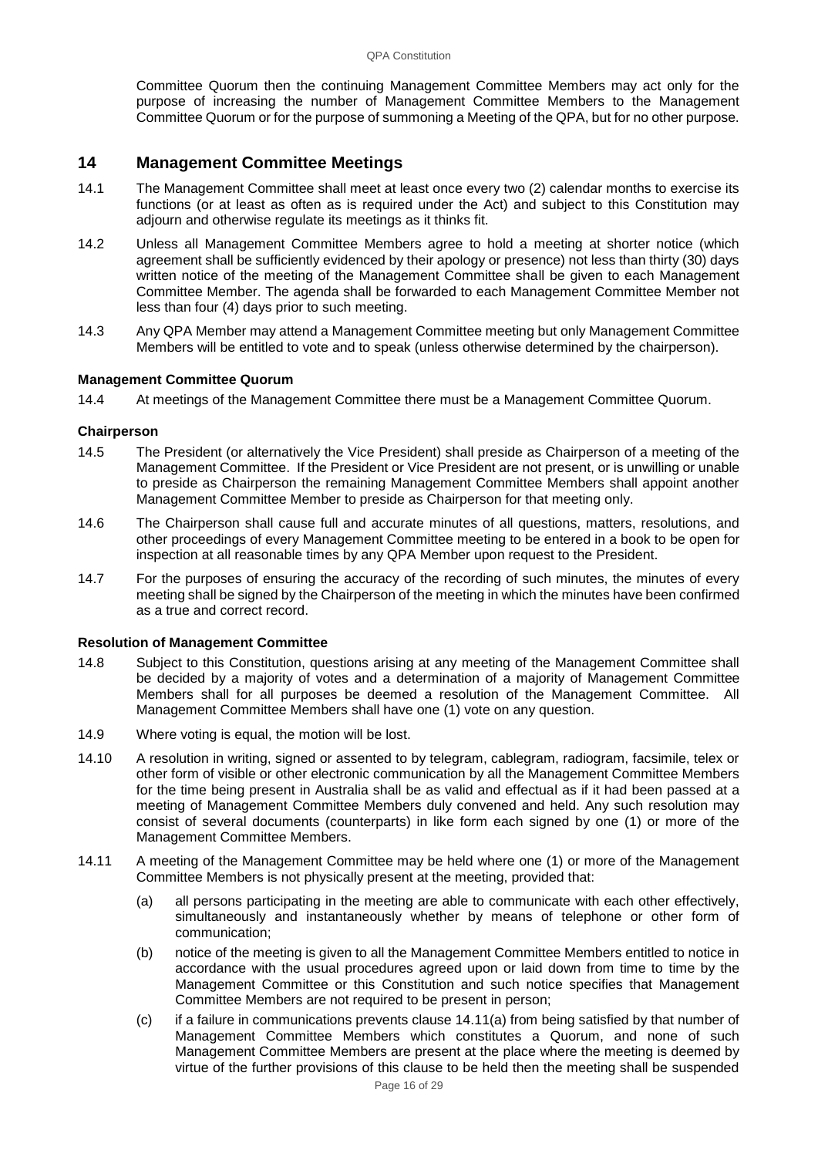Committee Quorum then the continuing Management Committee Members may act only for the purpose of increasing the number of Management Committee Members to the Management Committee Quorum or for the purpose of summoning a Meeting of the QPA, but for no other purpose.

## **14 Management Committee Meetings**

- 14.1 The Management Committee shall meet at least once every two (2) calendar months to exercise its functions (or at least as often as is required under the Act) and subject to this Constitution may adjourn and otherwise regulate its meetings as it thinks fit.
- 14.2 Unless all Management Committee Members agree to hold a meeting at shorter notice (which agreement shall be sufficiently evidenced by their apology or presence) not less than thirty (30) days written notice of the meeting of the Management Committee shall be given to each Management Committee Member. The agenda shall be forwarded to each Management Committee Member not less than four (4) days prior to such meeting.
- 14.3 Any QPA Member may attend a Management Committee meeting but only Management Committee Members will be entitled to vote and to speak (unless otherwise determined by the chairperson).

#### **Management Committee Quorum**

14.4 At meetings of the Management Committee there must be a Management Committee Quorum.

#### **Chairperson**

- 14.5 The President (or alternatively the Vice President) shall preside as Chairperson of a meeting of the Management Committee. If the President or Vice President are not present, or is unwilling or unable to preside as Chairperson the remaining Management Committee Members shall appoint another Management Committee Member to preside as Chairperson for that meeting only.
- 14.6 The Chairperson shall cause full and accurate minutes of all questions, matters, resolutions, and other proceedings of every Management Committee meeting to be entered in a book to be open for inspection at all reasonable times by any QPA Member upon request to the President.
- 14.7 For the purposes of ensuring the accuracy of the recording of such minutes, the minutes of every meeting shall be signed by the Chairperson of the meeting in which the minutes have been confirmed as a true and correct record.

#### **Resolution of Management Committee**

- 14.8 Subject to this Constitution, questions arising at any meeting of the Management Committee shall be decided by a majority of votes and a determination of a majority of Management Committee Members shall for all purposes be deemed a resolution of the Management Committee. All Management Committee Members shall have one (1) vote on any question.
- 14.9 Where voting is equal, the motion will be lost.
- 14.10 A resolution in writing, signed or assented to by telegram, cablegram, radiogram, facsimile, telex or other form of visible or other electronic communication by all the Management Committee Members for the time being present in Australia shall be as valid and effectual as if it had been passed at a meeting of Management Committee Members duly convened and held. Any such resolution may consist of several documents (counterparts) in like form each signed by one (1) or more of the Management Committee Members.
- 14.11 A meeting of the Management Committee may be held where one (1) or more of the Management Committee Members is not physically present at the meeting, provided that:
	- (a) all persons participating in the meeting are able to communicate with each other effectively, simultaneously and instantaneously whether by means of telephone or other form of communication;
	- (b) notice of the meeting is given to all the Management Committee Members entitled to notice in accordance with the usual procedures agreed upon or laid down from time to time by the Management Committee or this Constitution and such notice specifies that Management Committee Members are not required to be present in person;
	- (c) if a failure in communications prevents clause 14.11(a) from being satisfied by that number of Management Committee Members which constitutes a Quorum, and none of such Management Committee Members are present at the place where the meeting is deemed by virtue of the further provisions of this clause to be held then the meeting shall be suspended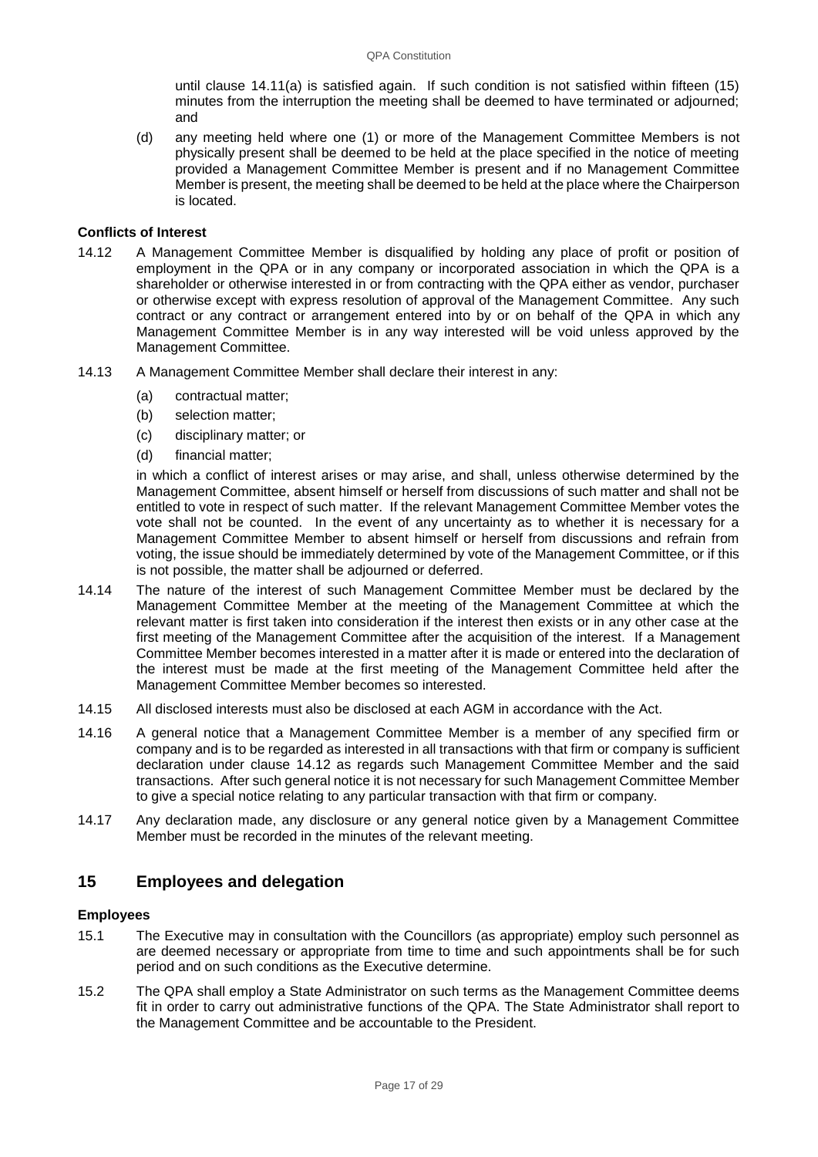until clause 14.11(a) is satisfied again. If such condition is not satisfied within fifteen (15) minutes from the interruption the meeting shall be deemed to have terminated or adjourned; and

(d) any meeting held where one (1) or more of the Management Committee Members is not physically present shall be deemed to be held at the place specified in the notice of meeting provided a Management Committee Member is present and if no Management Committee Member is present, the meeting shall be deemed to be held at the place where the Chairperson is located.

## **Conflicts of Interest**

- 14.12 A Management Committee Member is disqualified by holding any place of profit or position of employment in the QPA or in any company or incorporated association in which the QPA is a shareholder or otherwise interested in or from contracting with the QPA either as vendor, purchaser or otherwise except with express resolution of approval of the Management Committee. Any such contract or any contract or arrangement entered into by or on behalf of the QPA in which any Management Committee Member is in any way interested will be void unless approved by the Management Committee.
- 14.13 A Management Committee Member shall declare their interest in any:
	- (a) contractual matter;
	- (b) selection matter;
	- (c) disciplinary matter; or
	- (d) financial matter;

in which a conflict of interest arises or may arise, and shall, unless otherwise determined by the Management Committee, absent himself or herself from discussions of such matter and shall not be entitled to vote in respect of such matter. If the relevant Management Committee Member votes the vote shall not be counted. In the event of any uncertainty as to whether it is necessary for a Management Committee Member to absent himself or herself from discussions and refrain from voting, the issue should be immediately determined by vote of the Management Committee, or if this is not possible, the matter shall be adjourned or deferred.

- 14.14 The nature of the interest of such Management Committee Member must be declared by the Management Committee Member at the meeting of the Management Committee at which the relevant matter is first taken into consideration if the interest then exists or in any other case at the first meeting of the Management Committee after the acquisition of the interest. If a Management Committee Member becomes interested in a matter after it is made or entered into the declaration of the interest must be made at the first meeting of the Management Committee held after the Management Committee Member becomes so interested.
- 14.15 All disclosed interests must also be disclosed at each AGM in accordance with the Act.
- 14.16 A general notice that a Management Committee Member is a member of any specified firm or company and is to be regarded as interested in all transactions with that firm or company is sufficient declaration under clause 14.12 as regards such Management Committee Member and the said transactions. After such general notice it is not necessary for such Management Committee Member to give a special notice relating to any particular transaction with that firm or company.
- 14.17 Any declaration made, any disclosure or any general notice given by a Management Committee Member must be recorded in the minutes of the relevant meeting.

## **15 Employees and delegation**

#### **Employees**

- 15.1 The Executive may in consultation with the Councillors (as appropriate) employ such personnel as are deemed necessary or appropriate from time to time and such appointments shall be for such period and on such conditions as the Executive determine.
- 15.2 The QPA shall employ a State Administrator on such terms as the Management Committee deems fit in order to carry out administrative functions of the QPA. The State Administrator shall report to the Management Committee and be accountable to the President.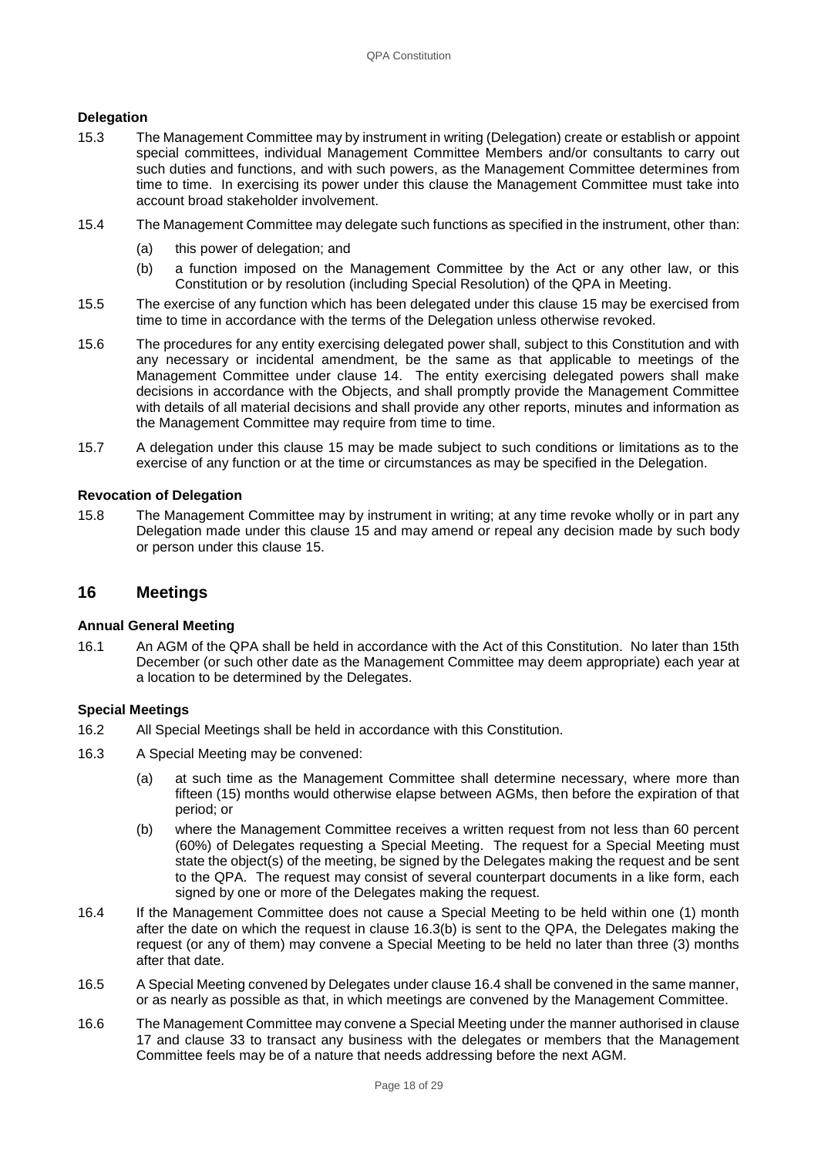## **Delegation**

- 15.3 The Management Committee may by instrument in writing (Delegation) create or establish or appoint special committees, individual Management Committee Members and/or consultants to carry out such duties and functions, and with such powers, as the Management Committee determines from time to time. In exercising its power under this clause the Management Committee must take into account broad stakeholder involvement.
- 15.4 The Management Committee may delegate such functions as specified in the instrument, other than:
	- (a) this power of delegation; and
	- (b) a function imposed on the Management Committee by the Act or any other law, or this Constitution or by resolution (including Special Resolution) of the QPA in Meeting.
- 15.5 The exercise of any function which has been delegated under this clause 15 may be exercised from time to time in accordance with the terms of the Delegation unless otherwise revoked.
- 15.6 The procedures for any entity exercising delegated power shall, subject to this Constitution and with any necessary or incidental amendment, be the same as that applicable to meetings of the Management Committee under clause 14. The entity exercising delegated powers shall make decisions in accordance with the Objects, and shall promptly provide the Management Committee with details of all material decisions and shall provide any other reports, minutes and information as the Management Committee may require from time to time.
- 15.7 A delegation under this clause 15 may be made subject to such conditions or limitations as to the exercise of any function or at the time or circumstances as may be specified in the Delegation.

## **Revocation of Delegation**

15.8 The Management Committee may by instrument in writing; at any time revoke wholly or in part any Delegation made under this clause 15 and may amend or repeal any decision made by such body or person under this clause 15.

## **16 Meetings**

#### **Annual General Meeting**

16.1 An AGM of the QPA shall be held in accordance with the Act of this Constitution. No later than 15th December (or such other date as the Management Committee may deem appropriate) each year at a location to be determined by the Delegates.

#### **Special Meetings**

- 16.2 All Special Meetings shall be held in accordance with this Constitution.
- 16.3 A Special Meeting may be convened:
	- (a) at such time as the Management Committee shall determine necessary, where more than fifteen (15) months would otherwise elapse between AGMs, then before the expiration of that period; or
	- (b) where the Management Committee receives a written request from not less than 60 percent (60%) of Delegates requesting a Special Meeting. The request for a Special Meeting must state the object(s) of the meeting, be signed by the Delegates making the request and be sent to the QPA. The request may consist of several counterpart documents in a like form, each signed by one or more of the Delegates making the request.
- 16.4 If the Management Committee does not cause a Special Meeting to be held within one (1) month after the date on which the request in clause 16.3(b) is sent to the QPA, the Delegates making the request (or any of them) may convene a Special Meeting to be held no later than three (3) months after that date.
- 16.5 A Special Meeting convened by Delegates under clause 16.4 shall be convened in the same manner, or as nearly as possible as that, in which meetings are convened by the Management Committee.
- 16.6 The Management Committee may convene a Special Meeting under the manner authorised in clause 17 and clause 33 to transact any business with the delegates or members that the Management Committee feels may be of a nature that needs addressing before the next AGM.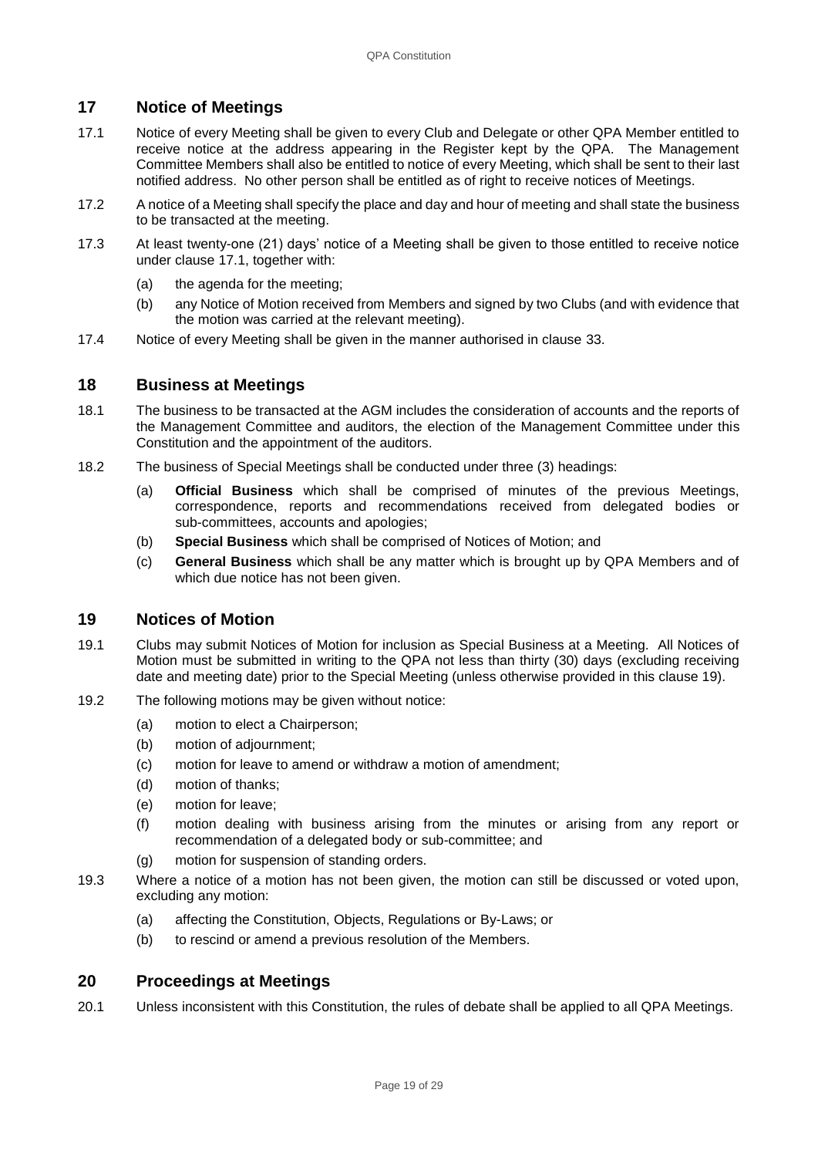## **17 Notice of Meetings**

- 17.1 Notice of every Meeting shall be given to every Club and Delegate or other QPA Member entitled to receive notice at the address appearing in the Register kept by the QPA. The Management Committee Members shall also be entitled to notice of every Meeting, which shall be sent to their last notified address. No other person shall be entitled as of right to receive notices of Meetings.
- 17.2 A notice of a Meeting shall specify the place and day and hour of meeting and shall state the business to be transacted at the meeting.
- 17.3 At least twenty-one (21) days' notice of a Meeting shall be given to those entitled to receive notice under clause 17.1, together with:
	- (a) the agenda for the meeting;
	- (b) any Notice of Motion received from Members and signed by two Clubs (and with evidence that the motion was carried at the relevant meeting).
- 17.4 Notice of every Meeting shall be given in the manner authorised in clause [33.](#page-27-0)

## **18 Business at Meetings**

- 18.1 The business to be transacted at the AGM includes the consideration of accounts and the reports of the Management Committee and auditors, the election of the Management Committee under this Constitution and the appointment of the auditors.
- 18.2 The business of Special Meetings shall be conducted under three (3) headings:
	- (a) **Official Business** which shall be comprised of minutes of the previous Meetings, correspondence, reports and recommendations received from delegated bodies or sub-committees, accounts and apologies;
	- (b) **Special Business** which shall be comprised of Notices of Motion; and
	- (c) **General Business** which shall be any matter which is brought up by QPA Members and of which due notice has not been given.

## **19 Notices of Motion**

- 19.1 Clubs may submit Notices of Motion for inclusion as Special Business at a Meeting. All Notices of Motion must be submitted in writing to the QPA not less than thirty (30) days (excluding receiving date and meeting date) prior to the Special Meeting (unless otherwise provided in this clause 19).
- 19.2 The following motions may be given without notice:
	- (a) motion to elect a Chairperson;
	- (b) motion of adjournment;
	- (c) motion for leave to amend or withdraw a motion of amendment;
	- (d) motion of thanks;
	- (e) motion for leave;
	- (f) motion dealing with business arising from the minutes or arising from any report or recommendation of a delegated body or sub-committee; and
	- (g) motion for suspension of standing orders.
- 19.3 Where a notice of a motion has not been given, the motion can still be discussed or voted upon, excluding any motion:
	- (a) affecting the Constitution, Objects, Regulations or By-Laws; or
	- (b) to rescind or amend a previous resolution of the Members.

## **20 Proceedings at Meetings**

20.1 Unless inconsistent with this Constitution, the rules of debate shall be applied to all QPA Meetings.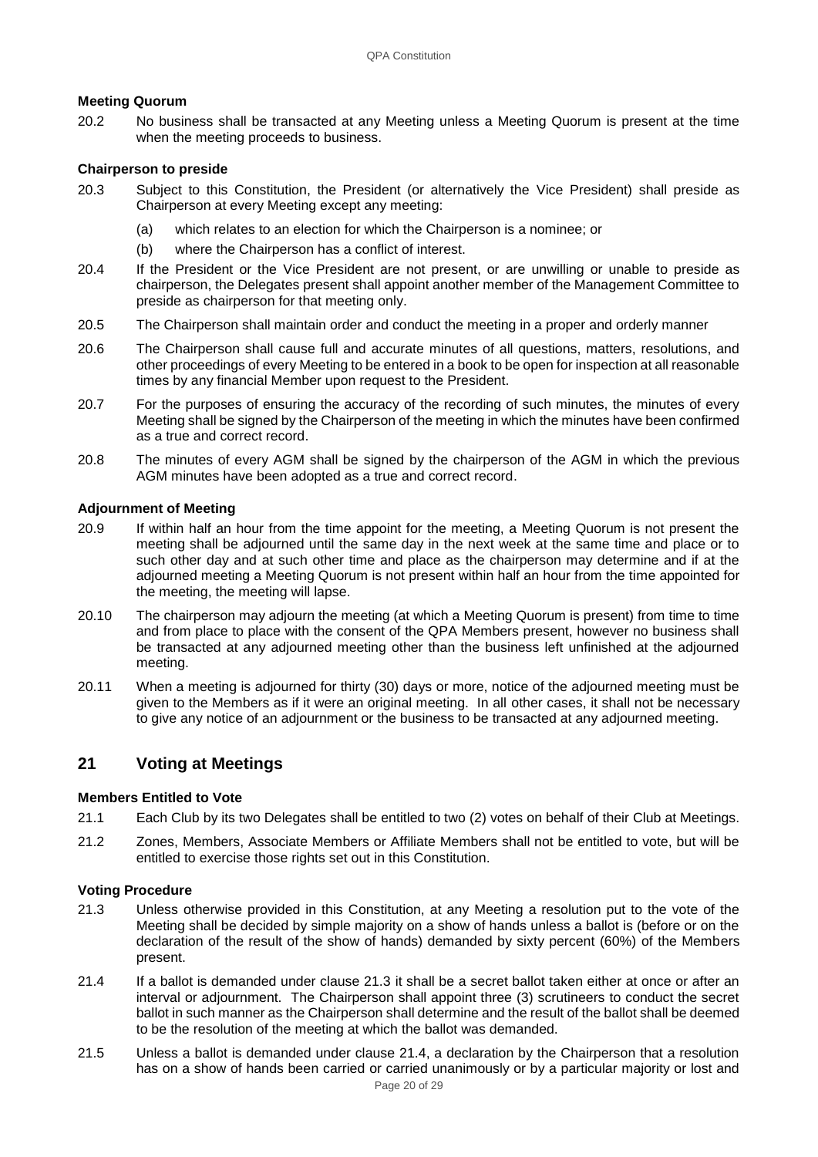## **Meeting Quorum**

20.2 No business shall be transacted at any Meeting unless a Meeting Quorum is present at the time when the meeting proceeds to business.

## **Chairperson to preside**

- 20.3 Subject to this Constitution, the President (or alternatively the Vice President) shall preside as Chairperson at every Meeting except any meeting:
	- (a) which relates to an election for which the Chairperson is a nominee; or
	- (b) where the Chairperson has a conflict of interest.
- 20.4 If the President or the Vice President are not present, or are unwilling or unable to preside as chairperson, the Delegates present shall appoint another member of the Management Committee to preside as chairperson for that meeting only.
- 20.5 The Chairperson shall maintain order and conduct the meeting in a proper and orderly manner
- 20.6 The Chairperson shall cause full and accurate minutes of all questions, matters, resolutions, and other proceedings of every Meeting to be entered in a book to be open for inspection at all reasonable times by any financial Member upon request to the President.
- 20.7 For the purposes of ensuring the accuracy of the recording of such minutes, the minutes of every Meeting shall be signed by the Chairperson of the meeting in which the minutes have been confirmed as a true and correct record.
- 20.8 The minutes of every AGM shall be signed by the chairperson of the AGM in which the previous AGM minutes have been adopted as a true and correct record.

#### **Adjournment of Meeting**

- 20.9 If within half an hour from the time appoint for the meeting, a Meeting Quorum is not present the meeting shall be adjourned until the same day in the next week at the same time and place or to such other day and at such other time and place as the chairperson may determine and if at the adjourned meeting a Meeting Quorum is not present within half an hour from the time appointed for the meeting, the meeting will lapse.
- 20.10 The chairperson may adjourn the meeting (at which a Meeting Quorum is present) from time to time and from place to place with the consent of the QPA Members present, however no business shall be transacted at any adjourned meeting other than the business left unfinished at the adjourned meeting.
- 20.11 When a meeting is adjourned for thirty (30) days or more, notice of the adjourned meeting must be given to the Members as if it were an original meeting. In all other cases, it shall not be necessary to give any notice of an adjournment or the business to be transacted at any adjourned meeting.

## **21 Voting at Meetings**

#### **Members Entitled to Vote**

- 21.1 Each Club by its two Delegates shall be entitled to two (2) votes on behalf of their Club at Meetings.
- 21.2 Zones, Members, Associate Members or Affiliate Members shall not be entitled to vote, but will be entitled to exercise those rights set out in this Constitution.

## **Voting Procedure**

- 21.3 Unless otherwise provided in this Constitution, at any Meeting a resolution put to the vote of the Meeting shall be decided by simple majority on a show of hands unless a ballot is (before or on the declaration of the result of the show of hands) demanded by sixty percent (60%) of the Members present.
- 21.4 If a ballot is demanded under clause 21.3 it shall be a secret ballot taken either at once or after an interval or adjournment. The Chairperson shall appoint three (3) scrutineers to conduct the secret ballot in such manner as the Chairperson shall determine and the result of the ballot shall be deemed to be the resolution of the meeting at which the ballot was demanded.
- 21.5 Unless a ballot is demanded under clause 21.4, a declaration by the Chairperson that a resolution has on a show of hands been carried or carried unanimously or by a particular majority or lost and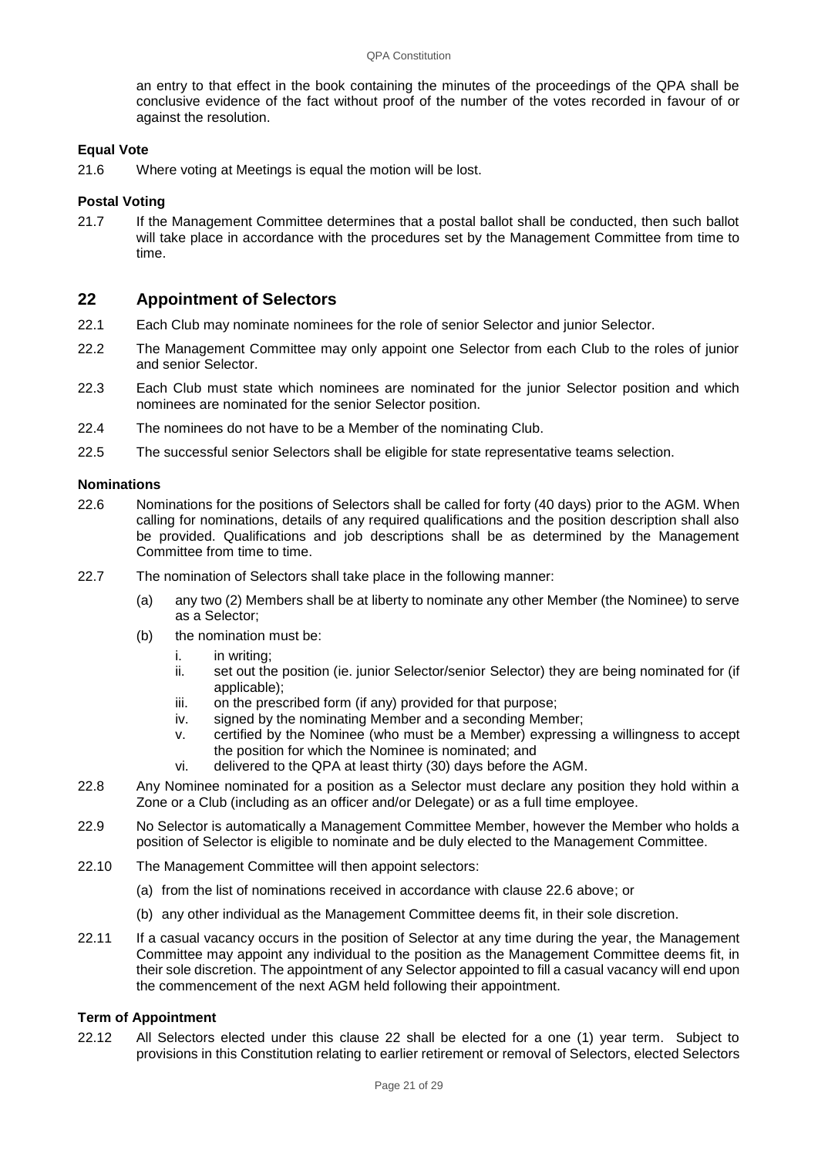an entry to that effect in the book containing the minutes of the proceedings of the QPA shall be conclusive evidence of the fact without proof of the number of the votes recorded in favour of or against the resolution.

### **Equal Vote**

21.6 Where voting at Meetings is equal the motion will be lost.

#### **Postal Voting**

21.7 If the Management Committee determines that a postal ballot shall be conducted, then such ballot will take place in accordance with the procedures set by the Management Committee from time to time.

## **22 Appointment of Selectors**

- 22.1 Each Club may nominate nominees for the role of senior Selector and junior Selector.
- 22.2 The Management Committee may only appoint one Selector from each Club to the roles of junior and senior Selector.
- 22.3 Each Club must state which nominees are nominated for the junior Selector position and which nominees are nominated for the senior Selector position.
- 22.4 The nominees do not have to be a Member of the nominating Club.
- 22.5 The successful senior Selectors shall be eligible for state representative teams selection.

#### **Nominations**

- 22.6 Nominations for the positions of Selectors shall be called for forty (40 days) prior to the AGM. When calling for nominations, details of any required qualifications and the position description shall also be provided. Qualifications and job descriptions shall be as determined by the Management Committee from time to time.
- 22.7 The nomination of Selectors shall take place in the following manner:
	- (a) any two (2) Members shall be at liberty to nominate any other Member (the Nominee) to serve as a Selector;
	- (b) the nomination must be:
		- i. in writing;
		- ii. set out the position (ie. junior Selector/senior Selector) they are being nominated for (if applicable);
		- iii. on the prescribed form (if any) provided for that purpose;
		- iv. signed by the nominating Member and a seconding Member;
		- v. certified by the Nominee (who must be a Member) expressing a willingness to accept the position for which the Nominee is nominated; and
		- vi. delivered to the QPA at least thirty (30) days before the AGM.
- 22.8 Any Nominee nominated for a position as a Selector must declare any position they hold within a Zone or a Club (including as an officer and/or Delegate) or as a full time employee.
- 22.9 No Selector is automatically a Management Committee Member, however the Member who holds a position of Selector is eligible to nominate and be duly elected to the Management Committee.
- 22.10 The Management Committee will then appoint selectors:
	- (a) from the list of nominations received in accordance with clause 22.6 above; or
	- (b) any other individual as the Management Committee deems fit, in their sole discretion.
- 22.11 If a casual vacancy occurs in the position of Selector at any time during the year, the Management Committee may appoint any individual to the position as the Management Committee deems fit, in their sole discretion. The appointment of any Selector appointed to fill a casual vacancy will end upon the commencement of the next AGM held following their appointment.

#### **Term of Appointment**

22.12 All Selectors elected under this clause 22 shall be elected for a one (1) year term. Subject to provisions in this Constitution relating to earlier retirement or removal of Selectors, elected Selectors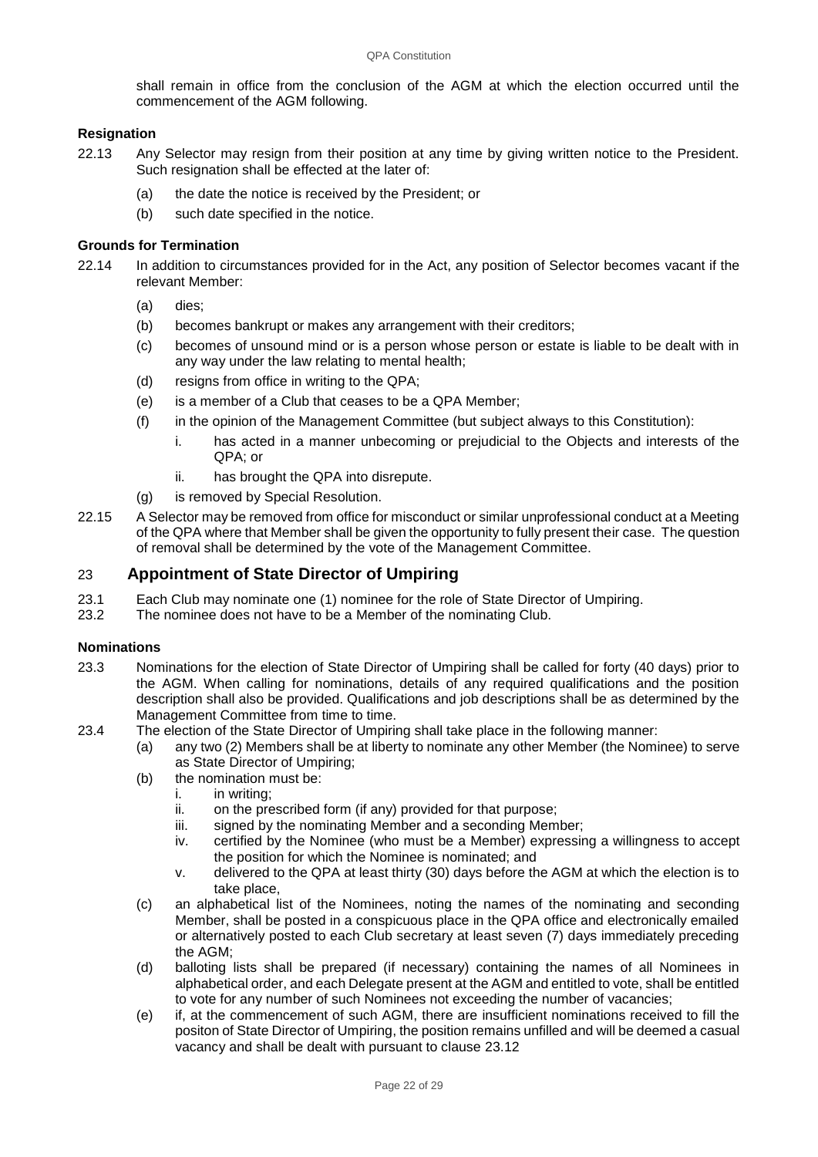shall remain in office from the conclusion of the AGM at which the election occurred until the commencement of the AGM following.

## **Resignation**

- 22.13 Any Selector may resign from their position at any time by giving written notice to the President. Such resignation shall be effected at the later of:
	- (a) the date the notice is received by the President; or
	- (b) such date specified in the notice.

#### **Grounds for Termination**

- 22.14 In addition to circumstances provided for in the Act, any position of Selector becomes vacant if the relevant Member:
	- (a) dies;
	- (b) becomes bankrupt or makes any arrangement with their creditors;
	- (c) becomes of unsound mind or is a person whose person or estate is liable to be dealt with in any way under the law relating to mental health;
	- (d) resigns from office in writing to the QPA;
	- (e) is a member of a Club that ceases to be a QPA Member;
	- (f) in the opinion of the Management Committee (but subject always to this Constitution):
		- i. has acted in a manner unbecoming or prejudicial to the Objects and interests of the QPA; or
		- ii. has brought the QPA into disrepute.
	- (g) is removed by Special Resolution.
- 22.15 A Selector may be removed from office for misconduct or similar unprofessional conduct at a Meeting of the QPA where that Member shall be given the opportunity to fully present their case. The question of removal shall be determined by the vote of the Management Committee.

## 23 **Appointment of State Director of Umpiring**

- 23.1 Each Club may nominate one (1) nominee for the role of State Director of Umpiring.<br>23.2 The nominee does not have to be a Member of the nominating Club.
- The nominee does not have to be a Member of the nominating Club.

#### **Nominations**

- 23.3 Nominations for the election of State Director of Umpiring shall be called for forty (40 days) prior to the AGM. When calling for nominations, details of any required qualifications and the position description shall also be provided. Qualifications and job descriptions shall be as determined by the Management Committee from time to time.
- 23.4 The election of the State Director of Umpiring shall take place in the following manner:
	- (a) any two (2) Members shall be at liberty to nominate any other Member (the Nominee) to serve as State Director of Umpiring;
	- (b) the nomination must be:
		- i. in writing;
		- ii. on the prescribed form (if any) provided for that purpose;
		- iii. signed by the nominating Member and a seconding Member;
		- iv. certified by the Nominee (who must be a Member) expressing a willingness to accept the position for which the Nominee is nominated; and
		- v. delivered to the QPA at least thirty (30) days before the AGM at which the election is to take place,
	- (c) an alphabetical list of the Nominees, noting the names of the nominating and seconding Member, shall be posted in a conspicuous place in the QPA office and electronically emailed or alternatively posted to each Club secretary at least seven (7) days immediately preceding the AGM;
	- (d) balloting lists shall be prepared (if necessary) containing the names of all Nominees in alphabetical order, and each Delegate present at the AGM and entitled to vote, shall be entitled to vote for any number of such Nominees not exceeding the number of vacancies;
	- (e) if, at the commencement of such AGM, there are insufficient nominations received to fill the positon of State Director of Umpiring, the position remains unfilled and will be deemed a casual vacancy and shall be dealt with pursuant to clause 23.12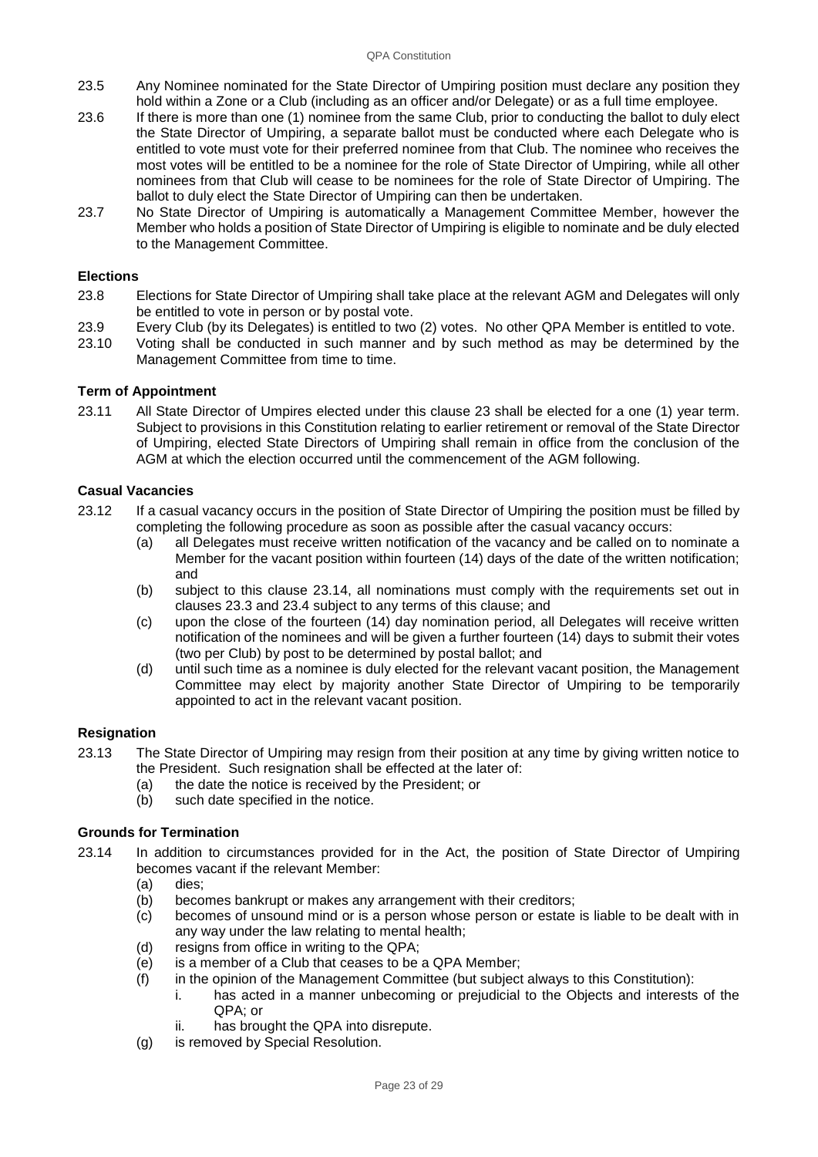- 23.5 Any Nominee nominated for the State Director of Umpiring position must declare any position they hold within a Zone or a Club (including as an officer and/or Delegate) or as a full time employee.
- 23.6 If there is more than one (1) nominee from the same Club, prior to conducting the ballot to duly elect the State Director of Umpiring, a separate ballot must be conducted where each Delegate who is entitled to vote must vote for their preferred nominee from that Club. The nominee who receives the most votes will be entitled to be a nominee for the role of State Director of Umpiring, while all other nominees from that Club will cease to be nominees for the role of State Director of Umpiring. The ballot to duly elect the State Director of Umpiring can then be undertaken.
- 23.7 No State Director of Umpiring is automatically a Management Committee Member, however the Member who holds a position of State Director of Umpiring is eligible to nominate and be duly elected to the Management Committee.

#### **Elections**

- 23.8 Elections for State Director of Umpiring shall take place at the relevant AGM and Delegates will only be entitled to vote in person or by postal vote.
- 23.9 Every Club (by its Delegates) is entitled to two (2) votes. No other QPA Member is entitled to vote.
- Voting shall be conducted in such manner and by such method as may be determined by the Management Committee from time to time.

#### **Term of Appointment**

23.11 All State Director of Umpires elected under this clause 23 shall be elected for a one (1) year term. Subject to provisions in this Constitution relating to earlier retirement or removal of the State Director of Umpiring, elected State Directors of Umpiring shall remain in office from the conclusion of the AGM at which the election occurred until the commencement of the AGM following.

#### **Casual Vacancies**

- 23.12 If a casual vacancy occurs in the position of State Director of Umpiring the position must be filled by completing the following procedure as soon as possible after the casual vacancy occurs:
	- (a) all Delegates must receive written notification of the vacancy and be called on to nominate a Member for the vacant position within fourteen (14) days of the date of the written notification; and
	- (b) subject to this clause 23.14, all nominations must comply with the requirements set out in clauses 23.3 and 23.4 subject to any terms of this clause; and
	- (c) upon the close of the fourteen (14) day nomination period, all Delegates will receive written notification of the nominees and will be given a further fourteen (14) days to submit their votes (two per Club) by post to be determined by postal ballot; and
	- (d) until such time as a nominee is duly elected for the relevant vacant position, the Management Committee may elect by majority another State Director of Umpiring to be temporarily appointed to act in the relevant vacant position.

#### **Resignation**

- 23.13 The State Director of Umpiring may resign from their position at any time by giving written notice to the President. Such resignation shall be effected at the later of:
	- (a) the date the notice is received by the President; or
	- (b) such date specified in the notice.

## **Grounds for Termination**

- 23.14 In addition to circumstances provided for in the Act, the position of State Director of Umpiring becomes vacant if the relevant Member:
	- (a) dies;
	- (b) becomes bankrupt or makes any arrangement with their creditors;<br>(c) becomes of unsound mind or is a person whose person or estate
	- becomes of unsound mind or is a person whose person or estate is liable to be dealt with in any way under the law relating to mental health;
	- (d) resigns from office in writing to the QPA;
	- (e) is a member of a Club that ceases to be a QPA Member;
	- (f) in the opinion of the Management Committee (but subject always to this Constitution):
		- i. has acted in a manner unbecoming or prejudicial to the Objects and interests of the QPA; or
		- ii. has brought the QPA into disrepute.
	- (g) is removed by Special Resolution.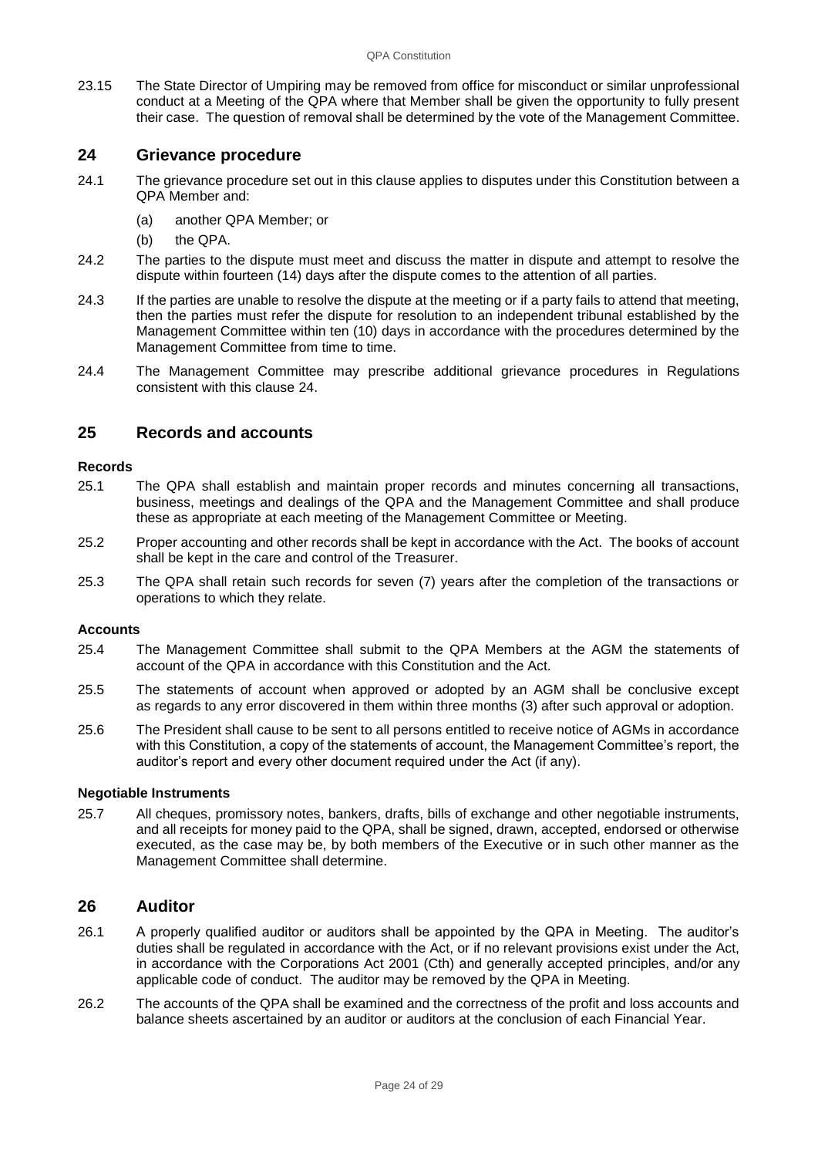23.15 The State Director of Umpiring may be removed from office for misconduct or similar unprofessional conduct at a Meeting of the QPA where that Member shall be given the opportunity to fully present their case. The question of removal shall be determined by the vote of the Management Committee.

## **24 Grievance procedure**

- 24.1 The grievance procedure set out in this clause applies to disputes under this Constitution between a QPA Member and:
	- (a) another QPA Member; or
	- (b) the QPA.
- 24.2 The parties to the dispute must meet and discuss the matter in dispute and attempt to resolve the dispute within fourteen (14) days after the dispute comes to the attention of all parties.
- 24.3 If the parties are unable to resolve the dispute at the meeting or if a party fails to attend that meeting, then the parties must refer the dispute for resolution to an independent tribunal established by the Management Committee within ten (10) days in accordance with the procedures determined by the Management Committee from time to time.
- 24.4 The Management Committee may prescribe additional grievance procedures in Regulations consistent with this clause 24.

## **25 Records and accounts**

#### **Records**

- 25.1 The QPA shall establish and maintain proper records and minutes concerning all transactions, business, meetings and dealings of the QPA and the Management Committee and shall produce these as appropriate at each meeting of the Management Committee or Meeting.
- 25.2 Proper accounting and other records shall be kept in accordance with the Act. The books of account shall be kept in the care and control of the Treasurer.
- 25.3 The QPA shall retain such records for seven (7) years after the completion of the transactions or operations to which they relate.

#### **Accounts**

- 25.4 The Management Committee shall submit to the QPA Members at the AGM the statements of account of the QPA in accordance with this Constitution and the Act.
- 25.5 The statements of account when approved or adopted by an AGM shall be conclusive except as regards to any error discovered in them within three months (3) after such approval or adoption.
- 25.6 The President shall cause to be sent to all persons entitled to receive notice of AGMs in accordance with this Constitution, a copy of the statements of account, the Management Committee's report, the auditor's report and every other document required under the Act (if any).

#### **Negotiable Instruments**

25.7 All cheques, promissory notes, bankers, drafts, bills of exchange and other negotiable instruments, and all receipts for money paid to the QPA, shall be signed, drawn, accepted, endorsed or otherwise executed, as the case may be, by both members of the Executive or in such other manner as the Management Committee shall determine.

## **26 Auditor**

- 26.1 A properly qualified auditor or auditors shall be appointed by the QPA in Meeting. The auditor's duties shall be regulated in accordance with the Act, or if no relevant provisions exist under the Act, in accordance with the Corporations Act 2001 (Cth) and generally accepted principles, and/or any applicable code of conduct. The auditor may be removed by the QPA in Meeting.
- 26.2 The accounts of the QPA shall be examined and the correctness of the profit and loss accounts and balance sheets ascertained by an auditor or auditors at the conclusion of each Financial Year.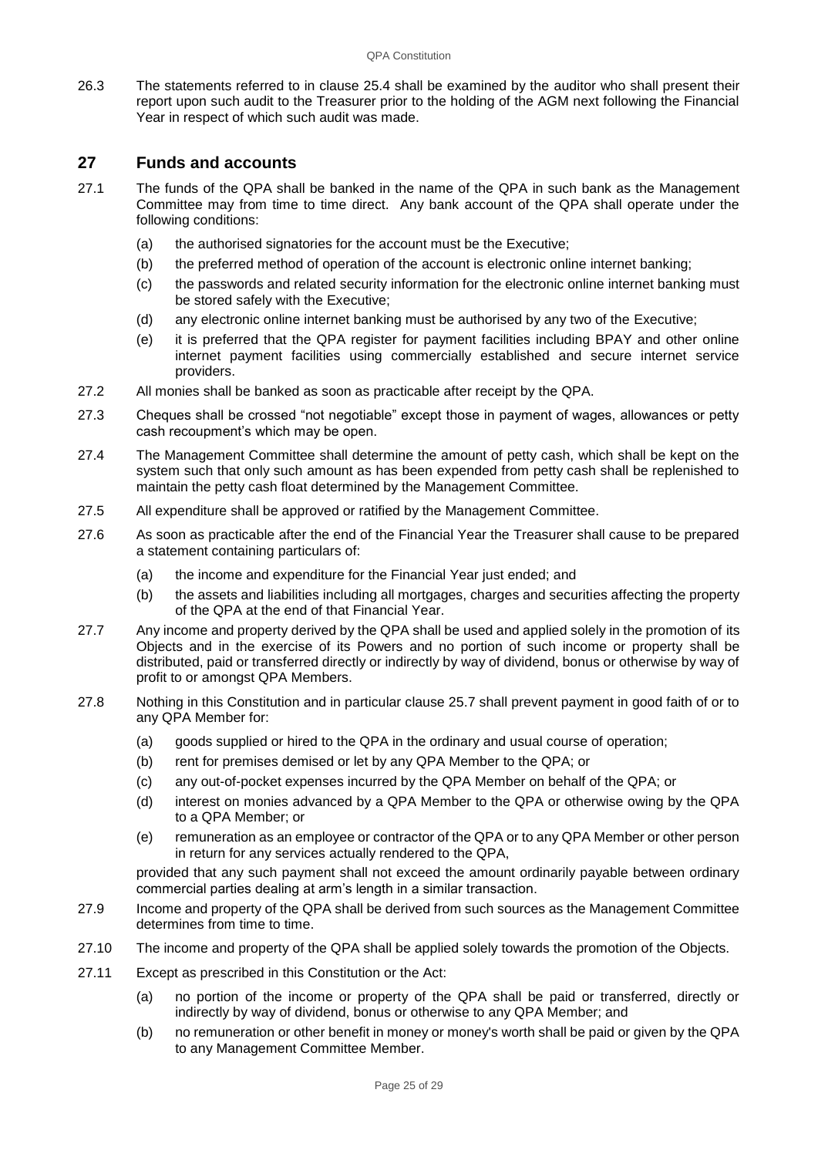26.3 The statements referred to in clause 25.4 shall be examined by the auditor who shall present their report upon such audit to the Treasurer prior to the holding of the AGM next following the Financial Year in respect of which such audit was made.

## **27 Funds and accounts**

- 27.1 The funds of the QPA shall be banked in the name of the QPA in such bank as the Management Committee may from time to time direct. Any bank account of the QPA shall operate under the following conditions:
	- (a) the authorised signatories for the account must be the Executive;
	- (b) the preferred method of operation of the account is electronic online internet banking;
	- (c) the passwords and related security information for the electronic online internet banking must be stored safely with the Executive;
	- (d) any electronic online internet banking must be authorised by any two of the Executive;
	- (e) it is preferred that the QPA register for payment facilities including BPAY and other online internet payment facilities using commercially established and secure internet service providers.
- 27.2 All monies shall be banked as soon as practicable after receipt by the QPA.
- 27.3 Cheques shall be crossed "not negotiable" except those in payment of wages, allowances or petty cash recoupment's which may be open.
- 27.4 The Management Committee shall determine the amount of petty cash, which shall be kept on the system such that only such amount as has been expended from petty cash shall be replenished to maintain the petty cash float determined by the Management Committee.
- 27.5 All expenditure shall be approved or ratified by the Management Committee.
- 27.6 As soon as practicable after the end of the Financial Year the Treasurer shall cause to be prepared a statement containing particulars of:
	- (a) the income and expenditure for the Financial Year just ended; and
	- (b) the assets and liabilities including all mortgages, charges and securities affecting the property of the QPA at the end of that Financial Year.
- 27.7 Any income and property derived by the QPA shall be used and applied solely in the promotion of its Objects and in the exercise of its Powers and no portion of such income or property shall be distributed, paid or transferred directly or indirectly by way of dividend, bonus or otherwise by way of profit to or amongst QPA Members.
- 27.8 Nothing in this Constitution and in particular clause 25.7 shall prevent payment in good faith of or to any QPA Member for:
	- (a) goods supplied or hired to the QPA in the ordinary and usual course of operation;
	- (b) rent for premises demised or let by any QPA Member to the QPA; or
	- (c) any out-of-pocket expenses incurred by the QPA Member on behalf of the QPA; or
	- (d) interest on monies advanced by a QPA Member to the QPA or otherwise owing by the QPA to a QPA Member; or
	- (e) remuneration as an employee or contractor of the QPA or to any QPA Member or other person in return for any services actually rendered to the QPA,

provided that any such payment shall not exceed the amount ordinarily payable between ordinary commercial parties dealing at arm's length in a similar transaction.

- 27.9 Income and property of the QPA shall be derived from such sources as the Management Committee determines from time to time.
- 27.10 The income and property of the QPA shall be applied solely towards the promotion of the Objects.
- 27.11 Except as prescribed in this Constitution or the Act:
	- (a) no portion of the income or property of the QPA shall be paid or transferred, directly or indirectly by way of dividend, bonus or otherwise to any QPA Member; and
	- (b) no remuneration or other benefit in money or money's worth shall be paid or given by the QPA to any Management Committee Member.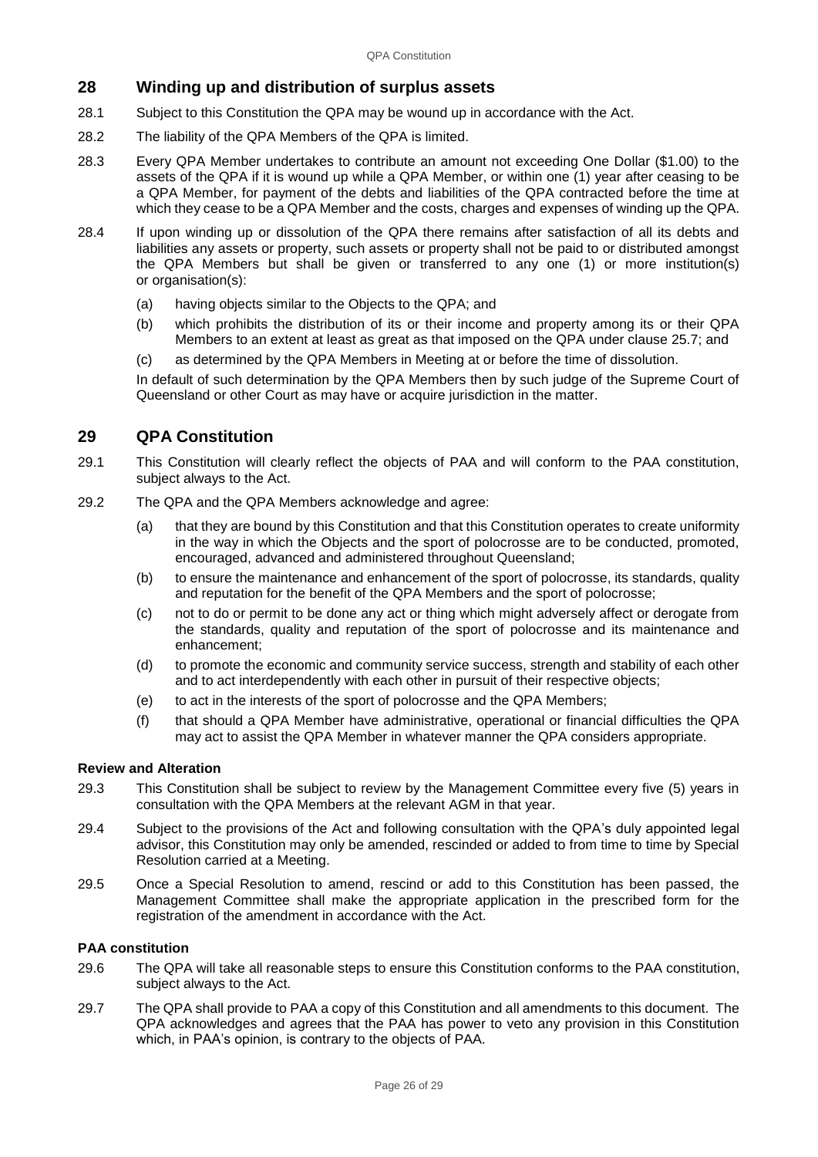## **28 Winding up and distribution of surplus assets**

- 28.1 Subject to this Constitution the QPA may be wound up in accordance with the Act.
- 28.2 The liability of the QPA Members of the QPA is limited.
- 28.3 Every QPA Member undertakes to contribute an amount not exceeding One Dollar (\$1.00) to the assets of the QPA if it is wound up while a QPA Member, or within one (1) year after ceasing to be a QPA Member, for payment of the debts and liabilities of the QPA contracted before the time at which they cease to be a QPA Member and the costs, charges and expenses of winding up the QPA.
- 28.4 If upon winding up or dissolution of the QPA there remains after satisfaction of all its debts and liabilities any assets or property, such assets or property shall not be paid to or distributed amongst the QPA Members but shall be given or transferred to any one (1) or more institution(s) or organisation(s):
	- (a) having objects similar to the Objects to the QPA; and
	- (b) which prohibits the distribution of its or their income and property among its or their QPA Members to an extent at least as great as that imposed on the QPA under clause 25.7; and
	- (c) as determined by the QPA Members in Meeting at or before the time of dissolution.

In default of such determination by the QPA Members then by such judge of the Supreme Court of Queensland or other Court as may have or acquire jurisdiction in the matter.

## **29 QPA Constitution**

- 29.1 This Constitution will clearly reflect the objects of PAA and will conform to the PAA constitution, subject always to the Act.
- 29.2 The QPA and the QPA Members acknowledge and agree:
	- (a) that they are bound by this Constitution and that this Constitution operates to create uniformity in the way in which the Objects and the sport of polocrosse are to be conducted, promoted, encouraged, advanced and administered throughout Queensland;
	- (b) to ensure the maintenance and enhancement of the sport of polocrosse, its standards, quality and reputation for the benefit of the QPA Members and the sport of polocrosse;
	- (c) not to do or permit to be done any act or thing which might adversely affect or derogate from the standards, quality and reputation of the sport of polocrosse and its maintenance and enhancement;
	- (d) to promote the economic and community service success, strength and stability of each other and to act interdependently with each other in pursuit of their respective objects;
	- (e) to act in the interests of the sport of polocrosse and the QPA Members;
	- (f) that should a QPA Member have administrative, operational or financial difficulties the QPA may act to assist the QPA Member in whatever manner the QPA considers appropriate.

## **Review and Alteration**

- 29.3 This Constitution shall be subject to review by the Management Committee every five (5) years in consultation with the QPA Members at the relevant AGM in that year.
- 29.4 Subject to the provisions of the Act and following consultation with the QPA's duly appointed legal advisor, this Constitution may only be amended, rescinded or added to from time to time by Special Resolution carried at a Meeting.
- 29.5 Once a Special Resolution to amend, rescind or add to this Constitution has been passed, the Management Committee shall make the appropriate application in the prescribed form for the registration of the amendment in accordance with the Act.

## **PAA constitution**

- 29.6 The QPA will take all reasonable steps to ensure this Constitution conforms to the PAA constitution, subject always to the Act.
- 29.7 The QPA shall provide to PAA a copy of this Constitution and all amendments to this document. The QPA acknowledges and agrees that the PAA has power to veto any provision in this Constitution which, in PAA's opinion, is contrary to the objects of PAA.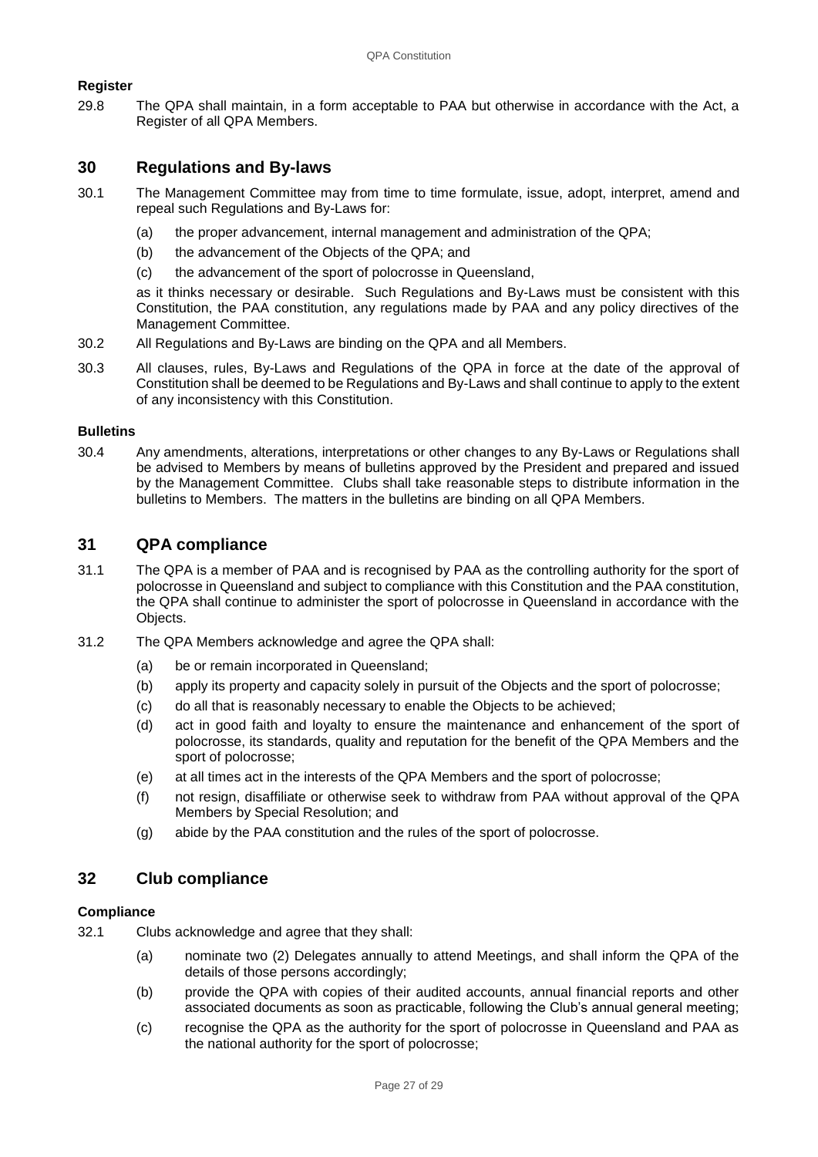## **Register**

29.8 The QPA shall maintain, in a form acceptable to PAA but otherwise in accordance with the Act, a Register of all QPA Members.

## **30 Regulations and By-laws**

- 30.1 The Management Committee may from time to time formulate, issue, adopt, interpret, amend and repeal such Regulations and By-Laws for:
	- (a) the proper advancement, internal management and administration of the QPA;
	- (b) the advancement of the Objects of the QPA; and
	- (c) the advancement of the sport of polocrosse in Queensland,

as it thinks necessary or desirable. Such Regulations and By-Laws must be consistent with this Constitution, the PAA constitution, any regulations made by PAA and any policy directives of the Management Committee.

- 30.2 All Regulations and By-Laws are binding on the QPA and all Members.
- 30.3 All clauses, rules, By-Laws and Regulations of the QPA in force at the date of the approval of Constitution shall be deemed to be Regulations and By-Laws and shall continue to apply to the extent of any inconsistency with this Constitution.

#### **Bulletins**

30.4 Any amendments, alterations, interpretations or other changes to any By-Laws or Regulations shall be advised to Members by means of bulletins approved by the President and prepared and issued by the Management Committee. Clubs shall take reasonable steps to distribute information in the bulletins to Members. The matters in the bulletins are binding on all QPA Members.

## **31 QPA compliance**

- 31.1 The QPA is a member of PAA and is recognised by PAA as the controlling authority for the sport of polocrosse in Queensland and subject to compliance with this Constitution and the PAA constitution, the QPA shall continue to administer the sport of polocrosse in Queensland in accordance with the Objects.
- 31.2 The QPA Members acknowledge and agree the QPA shall:
	- (a) be or remain incorporated in Queensland;
	- (b) apply its property and capacity solely in pursuit of the Objects and the sport of polocrosse;
	- (c) do all that is reasonably necessary to enable the Objects to be achieved;
	- (d) act in good faith and loyalty to ensure the maintenance and enhancement of the sport of polocrosse, its standards, quality and reputation for the benefit of the QPA Members and the sport of polocrosse;
	- (e) at all times act in the interests of the QPA Members and the sport of polocrosse;
	- (f) not resign, disaffiliate or otherwise seek to withdraw from PAA without approval of the QPA Members by Special Resolution; and
	- (g) abide by the PAA constitution and the rules of the sport of polocrosse.

## **32 Club compliance**

## **Compliance**

- 32.1 Clubs acknowledge and agree that they shall:
	- (a) nominate two (2) Delegates annually to attend Meetings, and shall inform the QPA of the details of those persons accordingly;
	- (b) provide the QPA with copies of their audited accounts, annual financial reports and other associated documents as soon as practicable, following the Club's annual general meeting;
	- (c) recognise the QPA as the authority for the sport of polocrosse in Queensland and PAA as the national authority for the sport of polocrosse;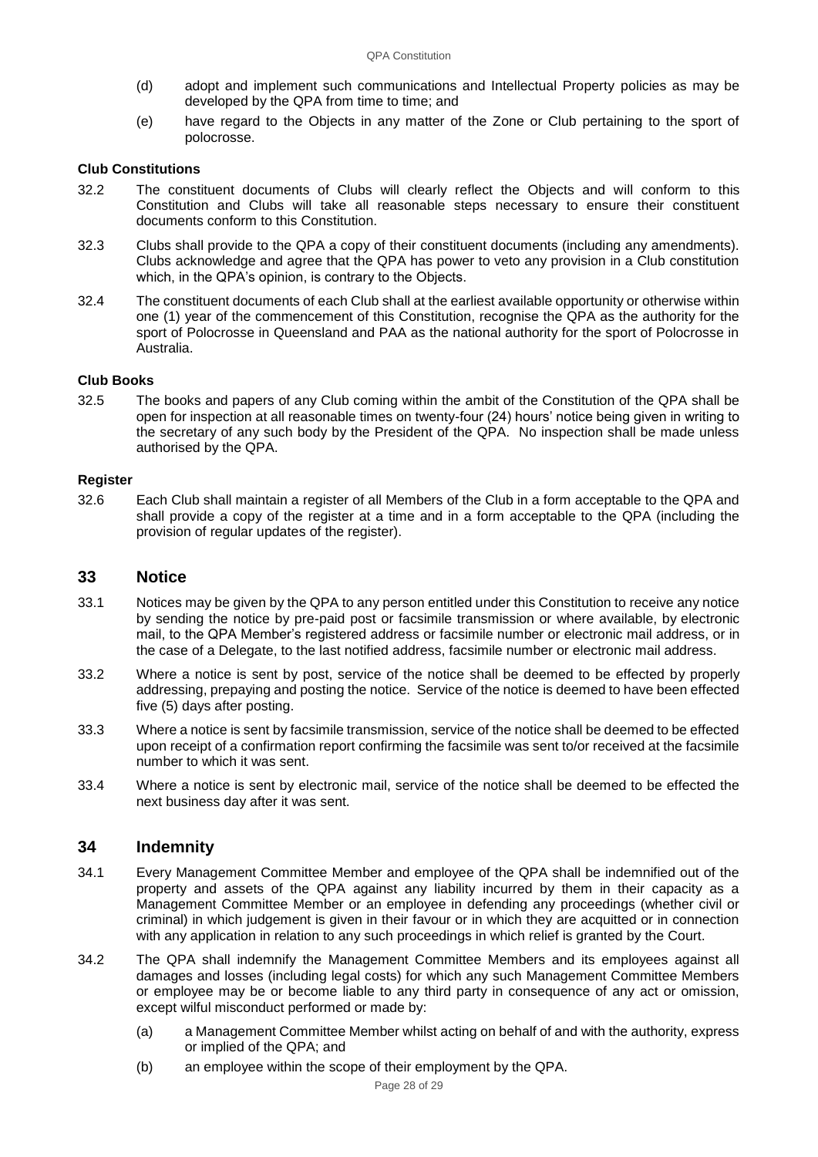- (d) adopt and implement such communications and Intellectual Property policies as may be developed by the QPA from time to time; and
- (e) have regard to the Objects in any matter of the Zone or Club pertaining to the sport of polocrosse.

#### **Club Constitutions**

- 32.2 The constituent documents of Clubs will clearly reflect the Objects and will conform to this Constitution and Clubs will take all reasonable steps necessary to ensure their constituent documents conform to this Constitution.
- 32.3 Clubs shall provide to the QPA a copy of their constituent documents (including any amendments). Clubs acknowledge and agree that the QPA has power to veto any provision in a Club constitution which, in the QPA's opinion, is contrary to the Objects.
- 32.4 The constituent documents of each Club shall at the earliest available opportunity or otherwise within one (1) year of the commencement of this Constitution, recognise the QPA as the authority for the sport of Polocrosse in Queensland and PAA as the national authority for the sport of Polocrosse in Australia.

#### **Club Books**

32.5 The books and papers of any Club coming within the ambit of the Constitution of the QPA shall be open for inspection at all reasonable times on twenty-four (24) hours' notice being given in writing to the secretary of any such body by the President of the QPA. No inspection shall be made unless authorised by the QPA.

#### **Register**

32.6 Each Club shall maintain a register of all Members of the Club in a form acceptable to the QPA and shall provide a copy of the register at a time and in a form acceptable to the QPA (including the provision of regular updates of the register).

## <span id="page-27-0"></span>**33 Notice**

- 33.1 Notices may be given by the QPA to any person entitled under this Constitution to receive any notice by sending the notice by pre-paid post or facsimile transmission or where available, by electronic mail, to the QPA Member's registered address or facsimile number or electronic mail address, or in the case of a Delegate, to the last notified address, facsimile number or electronic mail address.
- 33.2 Where a notice is sent by post, service of the notice shall be deemed to be effected by properly addressing, prepaying and posting the notice. Service of the notice is deemed to have been effected five (5) days after posting.
- 33.3 Where a notice is sent by facsimile transmission, service of the notice shall be deemed to be effected upon receipt of a confirmation report confirming the facsimile was sent to/or received at the facsimile number to which it was sent.
- 33.4 Where a notice is sent by electronic mail, service of the notice shall be deemed to be effected the next business day after it was sent.

## **34 Indemnity**

- 34.1 Every Management Committee Member and employee of the QPA shall be indemnified out of the property and assets of the QPA against any liability incurred by them in their capacity as a Management Committee Member or an employee in defending any proceedings (whether civil or criminal) in which judgement is given in their favour or in which they are acquitted or in connection with any application in relation to any such proceedings in which relief is granted by the Court.
- 34.2 The QPA shall indemnify the Management Committee Members and its employees against all damages and losses (including legal costs) for which any such Management Committee Members or employee may be or become liable to any third party in consequence of any act or omission, except wilful misconduct performed or made by:
	- (a) a Management Committee Member whilst acting on behalf of and with the authority, express or implied of the QPA; and
	- (b) an employee within the scope of their employment by the QPA.